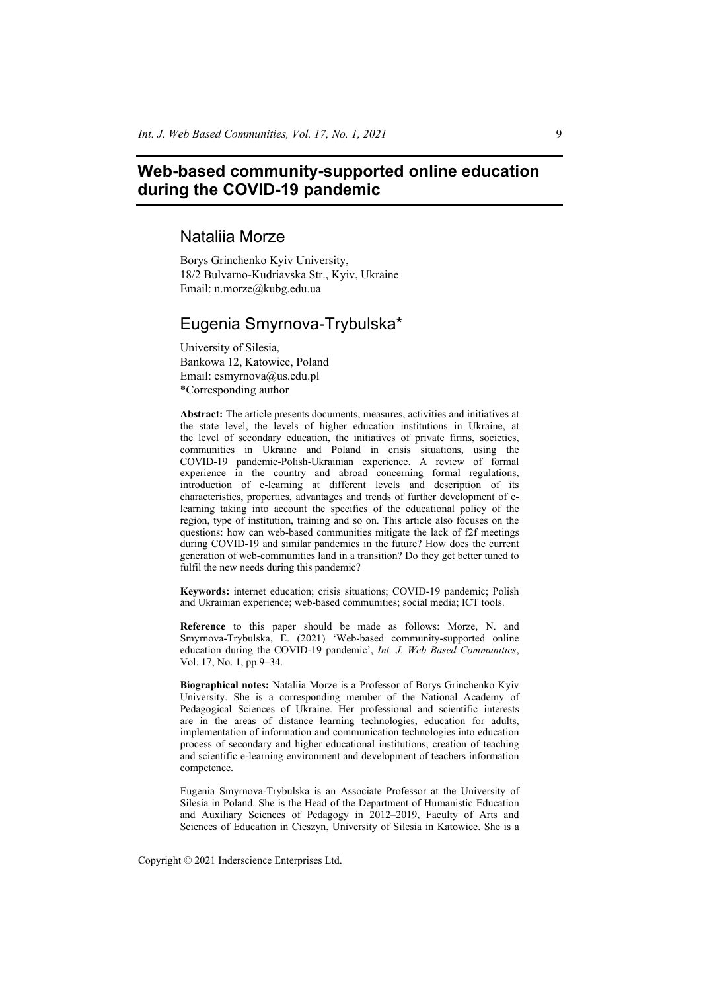# **Web-based community-supported online education during the COVID-19 pandemic**

# Nataliia Morze

Borys Grinchenko Kyiv University, 18/2 Bulvarno-Kudriavska Str., Kyiv, Ukraine Email: n.morze@kubg.edu.ua

# Eugenia Smyrnova-Trybulska\*

University of Silesia, Bankowa 12, Katowice, Poland Email: esmyrnova@us.edu.pl \*Corresponding author

**Abstract:** The article presents documents, measures, activities and initiatives at the state level, the levels of higher education institutions in Ukraine, at the level of secondary education, the initiatives of private firms, societies, communities in Ukraine and Poland in crisis situations, using the COVID-19 pandemic-Polish-Ukrainian experience. A review of formal experience in the country and abroad concerning formal regulations, introduction of e-learning at different levels and description of its characteristics, properties, advantages and trends of further development of elearning taking into account the specifics of the educational policy of the region, type of institution, training and so on. This article also focuses on the questions: how can web-based communities mitigate the lack of f2f meetings during COVID-19 and similar pandemics in the future? How does the current generation of web-communities land in a transition? Do they get better tuned to fulfil the new needs during this pandemic?

**Keywords:** internet education; crisis situations; COVID-19 pandemic; Polish and Ukrainian experience; web-based communities; social media; ICT tools.

**Reference** to this paper should be made as follows: Morze, N. and Smyrnova-Trybulska, E. (2021) 'Web-based community-supported online education during the COVID-19 pandemic', *Int. J. Web Based Communities*, Vol. 17, No. 1, pp.9–34.

**Biographical notes:** Nataliia Morze is a Professor of Borys Grinchenko Kyiv University. She is a corresponding member of the National Academy of Pedagogical Sciences of Ukraine. Her professional and scientific interests are in the areas of distance learning technologies, education for adults, implementation of information and communication technologies into education process of secondary and higher educational institutions, creation of teaching and scientific e-learning environment and development of teachers information competence.

Eugenia Smyrnova-Trybulska is an Associate Professor at the University of Silesia in Poland. She is the Head of the Department of Humanistic Education and Auxiliary Sciences of Pedagogy in 2012–2019, Faculty of Arts and Sciences of Education in Cieszyn, University of Silesia in Katowice. She is a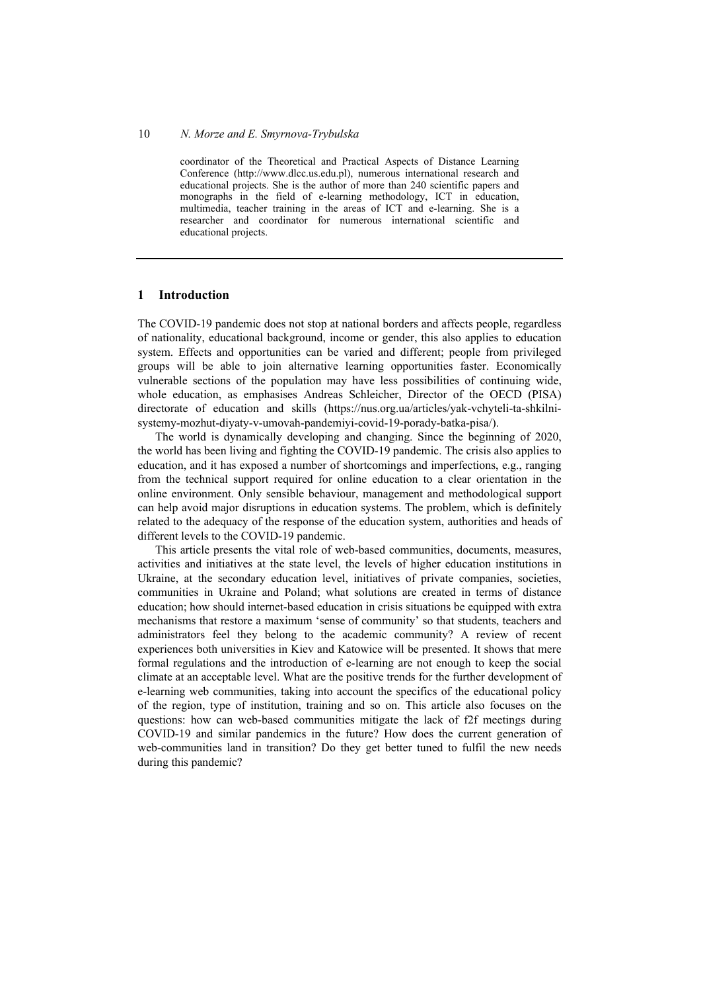coordinator of the Theoretical and Practical Aspects of Distance Learning Conference (http://www.dlcc.us.edu.pl), numerous international research and educational projects. She is the author of more than 240 scientific papers and monographs in the field of e-learning methodology, ICT in education, multimedia, teacher training in the areas of ICT and e-learning. She is a researcher and coordinator for numerous international scientific and educational projects.

#### **1 Introduction**

The COVID-19 pandemic does not stop at national borders and affects people, regardless of nationality, educational background, income or gender, this also applies to education system. Effects and opportunities can be varied and different; people from privileged groups will be able to join alternative learning opportunities faster. Economically vulnerable sections of the population may have less possibilities of continuing wide, whole education, as emphasises Andreas Schleicher, Director of the OECD (PISA) directorate of education and skills (https://nus.org.ua/articles/yak-vchyteli-ta-shkilnisystemy-mozhut-diyaty-v-umovah-pandemiyi-covid-19-porady-batka-pisa/).

The world is dynamically developing and changing. Since the beginning of 2020, the world has been living and fighting the COVID-19 pandemic. The crisis also applies to education, and it has exposed a number of shortcomings and imperfections, e.g., ranging from the technical support required for online education to a clear orientation in the online environment. Only sensible behaviour, management and methodological support can help avoid major disruptions in education systems. The problem, which is definitely related to the adequacy of the response of the education system, authorities and heads of different levels to the COVID-19 pandemic.

This article presents the vital role of web-based communities, documents, measures, activities and initiatives at the state level, the levels of higher education institutions in Ukraine, at the secondary education level, initiatives of private companies, societies, communities in Ukraine and Poland; what solutions are created in terms of distance education; how should internet-based education in crisis situations be equipped with extra mechanisms that restore a maximum 'sense of community' so that students, teachers and administrators feel they belong to the academic community? A review of recent experiences both universities in Kiev and Katowice will be presented. It shows that mere formal regulations and the introduction of e-learning are not enough to keep the social climate at an acceptable level. What are the positive trends for the further development of e-learning web communities, taking into account the specifics of the educational policy of the region, type of institution, training and so on. This article also focuses on the questions: how can web-based communities mitigate the lack of f2f meetings during COVID-19 and similar pandemics in the future? How does the current generation of web-communities land in transition? Do they get better tuned to fulfil the new needs during this pandemic?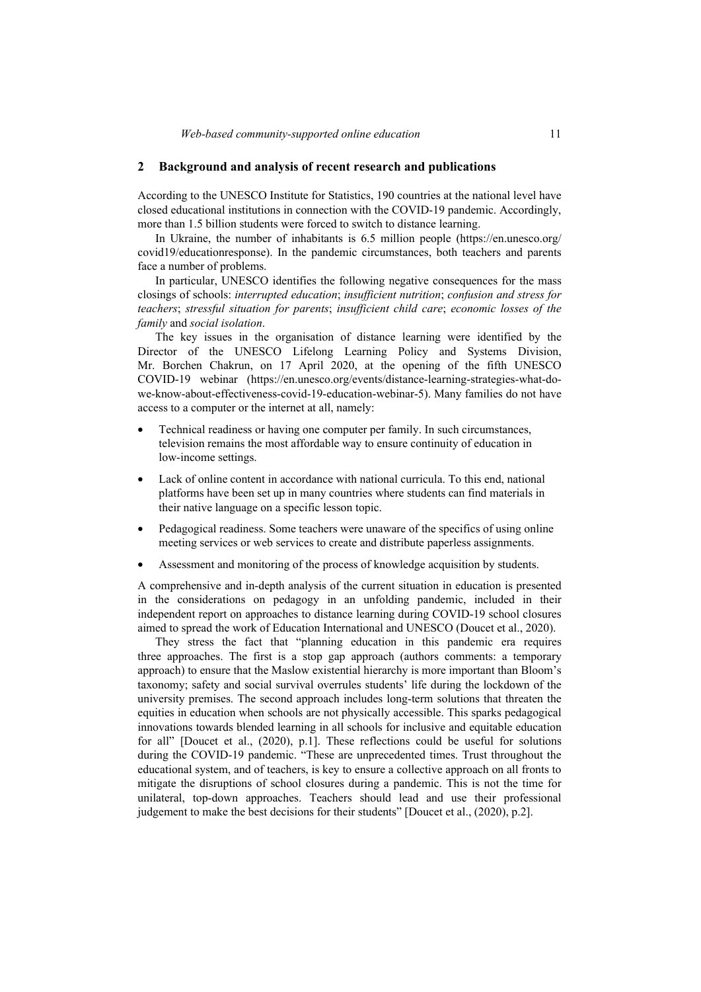#### **2 Background and analysis of recent research and publications**

According to the UNESCO Institute for Statistics, 190 countries at the national level have closed educational institutions in connection with the COVID-19 pandemic. Accordingly, more than 1.5 billion students were forced to switch to distance learning.

In Ukraine, the number of inhabitants is 6.5 million people (https://en.unesco.org/ covid19/educationresponse). In the pandemic circumstances, both teachers and parents face a number of problems.

In particular, UNESCO identifies the following negative consequences for the mass closings of schools: *interrupted education*; *insufficient nutrition*; *confusion and stress for teachers*; *stressful situation for parents*; *insufficient child care*; *economic losses of the family* and *social isolation*.

The key issues in the organisation of distance learning were identified by the Director of the UNESCO Lifelong Learning Policy and Systems Division, Mr. Borchen Chakrun, on 17 April 2020, at the opening of the fifth UNESCO COVID-19 webinar (https://en.unesco.org/events/distance-learning-strategies-what-dowe-know-about-effectiveness-covid-19-education-webinar-5). Many families do not have access to a computer or the internet at all, namely:

- Technical readiness or having one computer per family. In such circumstances, television remains the most affordable way to ensure continuity of education in low-income settings.
- Lack of online content in accordance with national curricula. To this end, national platforms have been set up in many countries where students can find materials in their native language on a specific lesson topic.
- Pedagogical readiness. Some teachers were unaware of the specifics of using online meeting services or web services to create and distribute paperless assignments.
- Assessment and monitoring of the process of knowledge acquisition by students.

A comprehensive and in-depth analysis of the current situation in education is presented in the considerations on pedagogy in an unfolding pandemic, included in their independent report on approaches to distance learning during COVID-19 school closures aimed to spread the work of Education International and UNESCO (Doucet et al., 2020).

They stress the fact that "planning education in this pandemic era requires three approaches. The first is a stop gap approach (authors comments: a temporary approach) to ensure that the Maslow existential hierarchy is more important than Bloom's taxonomy; safety and social survival overrules students' life during the lockdown of the university premises. The second approach includes long-term solutions that threaten the equities in education when schools are not physically accessible. This sparks pedagogical innovations towards blended learning in all schools for inclusive and equitable education for all" [Doucet et al., (2020), p.1]. These reflections could be useful for solutions during the COVID-19 pandemic. "These are unprecedented times. Trust throughout the educational system, and of teachers, is key to ensure a collective approach on all fronts to mitigate the disruptions of school closures during a pandemic. This is not the time for unilateral, top-down approaches. Teachers should lead and use their professional judgement to make the best decisions for their students" [Doucet et al., (2020), p.2].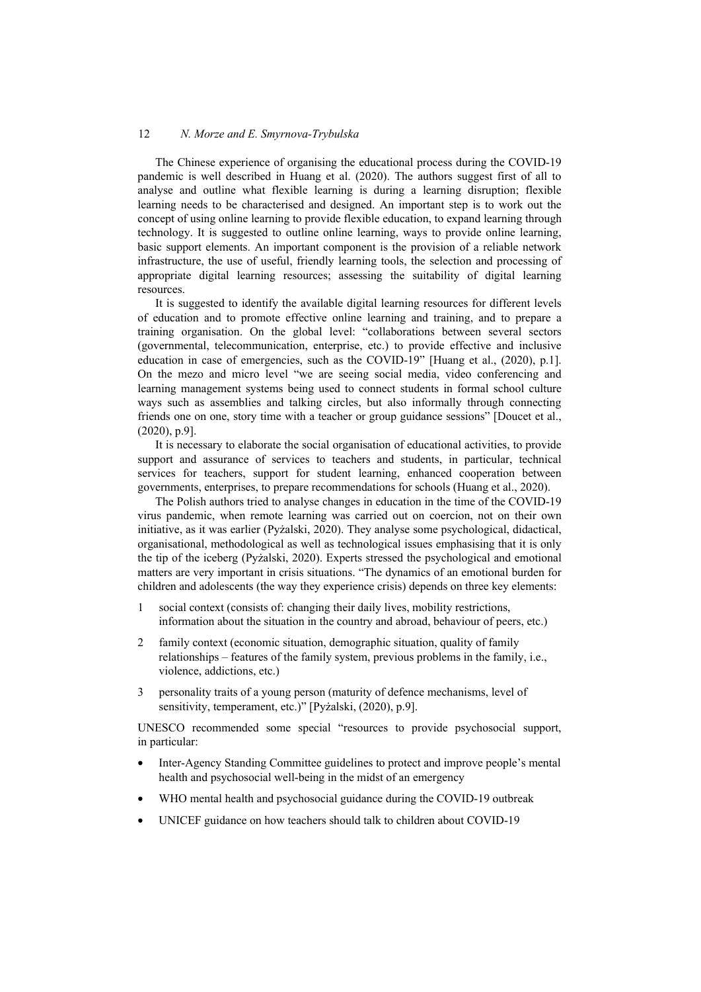The Chinese experience of organising the educational process during the COVID-19 pandemic is well described in Huang et al. (2020). The authors suggest first of all to analyse and outline what flexible learning is during a learning disruption; flexible learning needs to be characterised and designed. An important step is to work out the concept of using online learning to provide flexible education, to expand learning through technology. It is suggested to outline online learning, ways to provide online learning, basic support elements. An important component is the provision of a reliable network infrastructure, the use of useful, friendly learning tools, the selection and processing of appropriate digital learning resources; assessing the suitability of digital learning resources.

It is suggested to identify the available digital learning resources for different levels of education and to promote effective online learning and training, and to prepare a training organisation. On the global level: "collaborations between several sectors (governmental, telecommunication, enterprise, etc.) to provide effective and inclusive education in case of emergencies, such as the COVID-19" [Huang et al., (2020), p.1]. On the mezo and micro level "we are seeing social media, video conferencing and learning management systems being used to connect students in formal school culture ways such as assemblies and talking circles, but also informally through connecting friends one on one, story time with a teacher or group guidance sessions" [Doucet et al., (2020), p.9].

It is necessary to elaborate the social organisation of educational activities, to provide support and assurance of services to teachers and students, in particular, technical services for teachers, support for student learning, enhanced cooperation between governments, enterprises, to prepare recommendations for schools (Huang et al., 2020).

The Polish authors tried to analyse changes in education in the time of the COVID-19 virus pandemic, when remote learning was carried out on coercion, not on their own initiative, as it was earlier (Pyżalski, 2020). They analyse some psychological, didactical, organisational, methodological as well as technological issues emphasising that it is only the tip of the iceberg (Pyżalski, 2020). Experts stressed the psychological and emotional matters are very important in crisis situations. "The dynamics of an emotional burden for children and adolescents (the way they experience crisis) depends on three key elements:

- 1 social context (consists of: changing their daily lives, mobility restrictions, information about the situation in the country and abroad, behaviour of peers, etc.)
- 2 family context (economic situation, demographic situation, quality of family relationships – features of the family system, previous problems in the family, i.e., violence, addictions, etc.)
- 3 personality traits of a young person (maturity of defence mechanisms, level of sensitivity, temperament, etc.)" [Pyżalski, (2020), p.9].

UNESCO recommended some special "resources to provide psychosocial support, in particular:

- Inter-Agency Standing Committee guidelines to protect and improve people's mental health and psychosocial well-being in the midst of an emergency
- WHO mental health and psychosocial guidance during the COVID-19 outbreak
- UNICEF guidance on how teachers should talk to children about COVID-19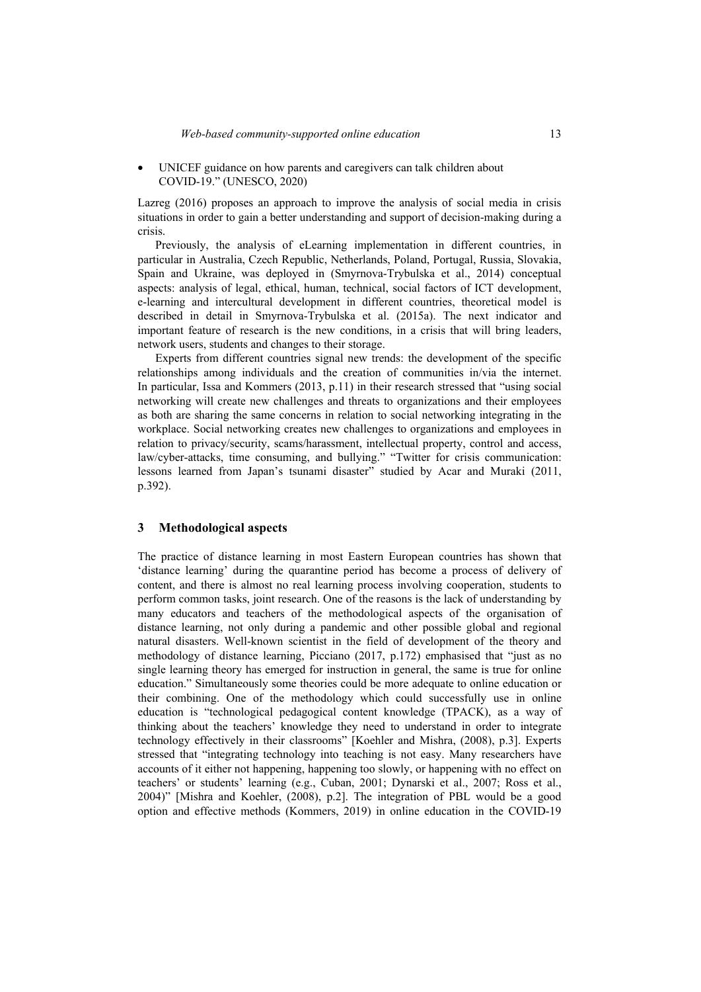• UNICEF guidance on how parents and caregivers can talk children about COVID-19." (UNESCO, 2020)

Lazreg (2016) proposes an approach to improve the analysis of social media in crisis situations in order to gain a better understanding and support of decision-making during a crisis.

Previously, the analysis of eLearning implementation in different countries, in particular in Australia, Czech Republic, Netherlands, Poland, Portugal, Russia, Slovakia, Spain and Ukraine, was deployed in (Smyrnova-Trybulska et al., 2014) conceptual aspects: analysis of legal, ethical, human, technical, social factors of ICT development, e-learning and intercultural development in different countries, theoretical model is described in detail in Smyrnova-Trybulska et al. (2015a). The next indicator and important feature of research is the new conditions, in a crisis that will bring leaders, network users, students and changes to their storage.

Experts from different countries signal new trends: the development of the specific relationships among individuals and the creation of communities in/via the internet. In particular, Issa and Kommers (2013, p.11) in their research stressed that "using social networking will create new challenges and threats to organizations and their employees as both are sharing the same concerns in relation to social networking integrating in the workplace. Social networking creates new challenges to organizations and employees in relation to privacy/security, scams/harassment, intellectual property, control and access, law/cyber-attacks, time consuming, and bullying." "Twitter for crisis communication: lessons learned from Japan's tsunami disaster" studied by Acar and Muraki (2011, p.392).

#### **3 Methodological aspects**

The practice of distance learning in most Eastern European countries has shown that 'distance learning' during the quarantine period has become a process of delivery of content, and there is almost no real learning process involving cooperation, students to perform common tasks, joint research. One of the reasons is the lack of understanding by many educators and teachers of the methodological aspects of the organisation of distance learning, not only during a pandemic and other possible global and regional natural disasters. Well-known scientist in the field of development of the theory and methodology of distance learning, Picciano (2017, p.172) emphasised that "just as no single learning theory has emerged for instruction in general, the same is true for online education." Simultaneously some theories could be more adequate to online education or their combining. One of the methodology which could successfully use in online education is "technological pedagogical content knowledge (TPACK), as a way of thinking about the teachers' knowledge they need to understand in order to integrate technology effectively in their classrooms" [Koehler and Mishra, (2008), p.3]. Experts stressed that "integrating technology into teaching is not easy. Many researchers have accounts of it either not happening, happening too slowly, or happening with no effect on teachers' or students' learning (e.g., Cuban, 2001; Dynarski et al., 2007; Ross et al., 2004)" [Mishra and Koehler, (2008), p.2]. The integration of PBL would be a good option and effective methods (Kommers, 2019) in online education in the COVID-19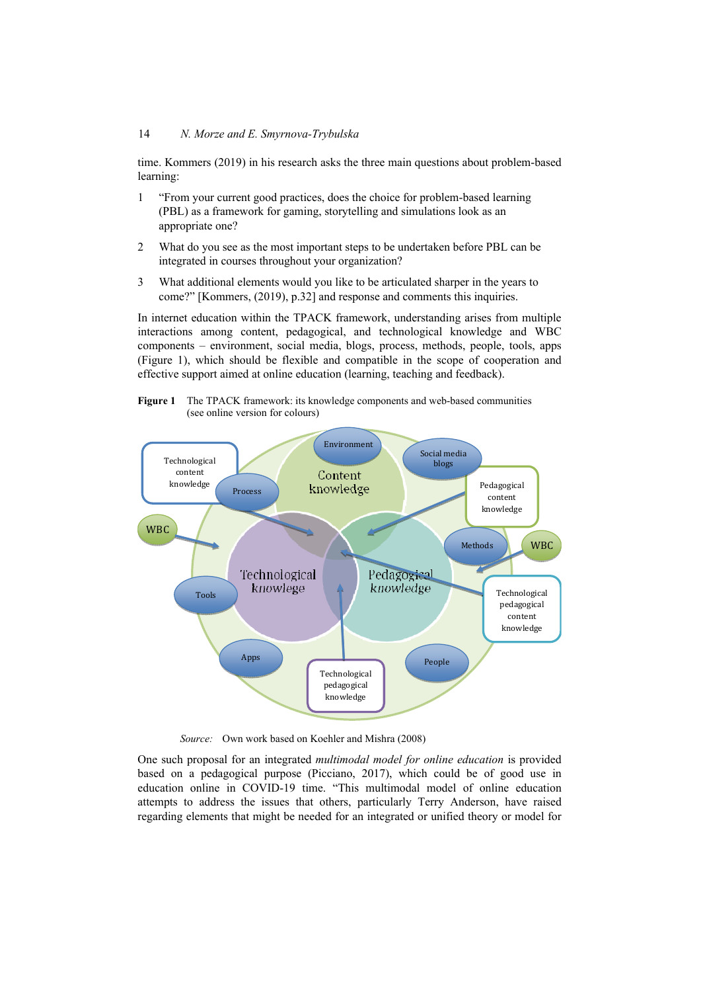time. Kommers (2019) in his research asks the three main questions about problem-based learning:

- 1 "From your current good practices, does the choice for problem-based learning (PBL) as a framework for gaming, storytelling and simulations look as an appropriate one?
- 2 What do you see as the most important steps to be undertaken before PBL can be integrated in courses throughout your organization?
- 3 What additional elements would you like to be articulated sharper in the years to come?" [Kommers, (2019), p.32] and response and comments this inquiries.

In internet education within the TPACK framework, understanding arises from multiple interactions among content, pedagogical, and technological knowledge and WBC components – environment, social media, blogs, process, methods, people, tools, apps (Figure 1), which should be flexible and compatible in the scope of cooperation and effective support aimed at online education (learning, teaching and feedback).





*Source:* Own work based on Koehler and Mishra (2008)

One such proposal for an integrated *multimodal model for online education* is provided based on a pedagogical purpose (Picciano, 2017), which could be of good use in education online in COVID-19 time. "This multimodal model of online education attempts to address the issues that others, particularly Terry Anderson, have raised regarding elements that might be needed for an integrated or unified theory or model for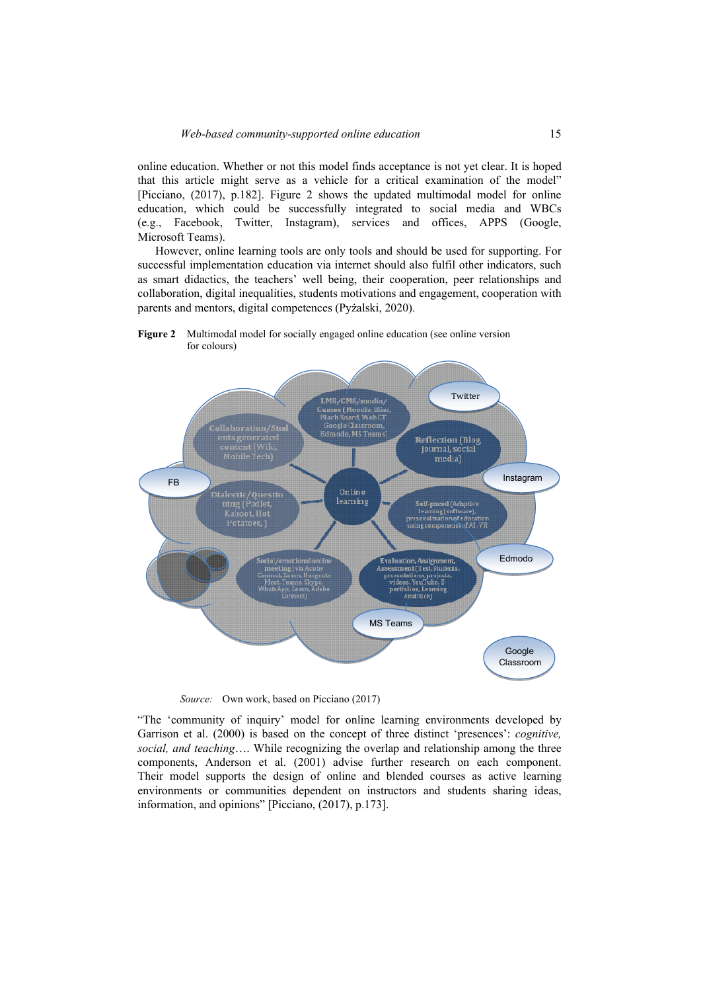online education. Whether or not this model finds acceptance is not yet clear. It is hoped that this article might serve as a vehicle for a critical examination of the model" [Picciano, (2017), p.182]. Figure 2 shows the updated multimodal model for online education, which could be successfully integrated to social media and WBCs (e.g., Facebook, Twitter, Instagram), services and offices, APPS (Google, Microsoft Teams).

However, online learning tools are only tools and should be used for supporting. For successful implementation education via internet should also fulfil other indicators, such as smart didactics, the teachers' well being, their cooperation, peer relationships and collaboration, digital inequalities, students motivations and engagement, cooperation with parents and mentors, digital competences (Pyżalski, 2020).

**Figure 2** Multimodal model for socially engaged online education (see online version for colours)



*Source:* Own work, based on Picciano (2017)

"The 'community of inquiry' model for online learning environments developed by Garrison et al. (2000) is based on the concept of three distinct 'presences': *cognitive, social, and teaching*…. While recognizing the overlap and relationship among the three components, Anderson et al. (2001) advise further research on each component. Their model supports the design of online and blended courses as active learning environments or communities dependent on instructors and students sharing ideas, information, and opinions" [Picciano, (2017), p.173].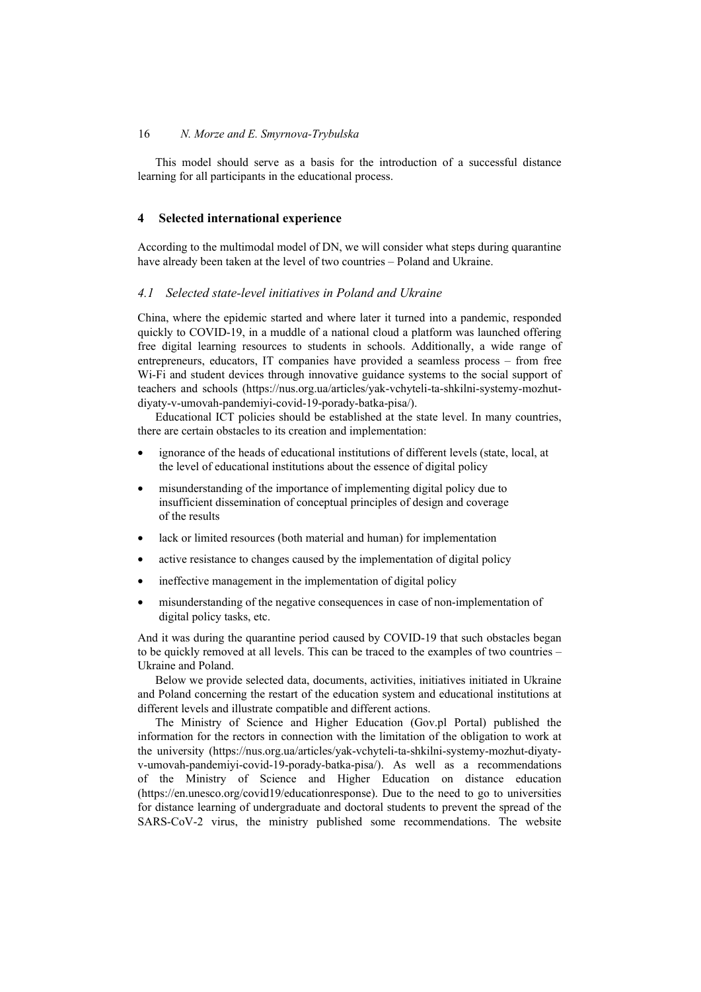This model should serve as a basis for the introduction of a successful distance learning for all participants in the educational process.

### **4 Selected international experience**

According to the multimodal model of DN, we will consider what steps during quarantine have already been taken at the level of two countries – Poland and Ukraine.

#### *4.1 Selected state-level initiatives in Poland and Ukraine*

China, where the epidemic started and where later it turned into a pandemic, responded quickly to COVID-19, in a muddle of a national cloud a platform was launched offering free digital learning resources to students in schools. Additionally, a wide range of entrepreneurs, educators, IT companies have provided a seamless process – from free Wi-Fi and student devices through innovative guidance systems to the social support of teachers and schools (https://nus.org.ua/articles/yak-vchyteli-ta-shkilni-systemy-mozhutdiyaty-v-umovah-pandemiyi-covid-19-porady-batka-pisa/).

Educational ICT policies should be established at the state level. In many countries, there are certain obstacles to its creation and implementation:

- ignorance of the heads of educational institutions of different levels (state, local, at the level of educational institutions about the essence of digital policy
- misunderstanding of the importance of implementing digital policy due to insufficient dissemination of conceptual principles of design and coverage of the results
- lack or limited resources (both material and human) for implementation
- active resistance to changes caused by the implementation of digital policy
- ineffective management in the implementation of digital policy
- misunderstanding of the negative consequences in case of non-implementation of digital policy tasks, etc.

And it was during the quarantine period caused by COVID-19 that such obstacles began to be quickly removed at all levels. This can be traced to the examples of two countries – Ukraine and Poland.

Below we provide selected data, documents, activities, initiatives initiated in Ukraine and Poland concerning the restart of the education system and educational institutions at different levels and illustrate compatible and different actions.

The Ministry of Science and Higher Education (Gov.pl Portal) published the information for the rectors in connection with the limitation of the obligation to work at the university (https://nus.org.ua/articles/yak-vchyteli-ta-shkilni-systemy-mozhut-diyatyv-umovah-pandemiyi-covid-19-porady-batka-pisa/). As well as a recommendations of the Ministry of Science and Higher Education on distance education (https://en.unesco.org/covid19/educationresponse). Due to the need to go to universities for distance learning of undergraduate and doctoral students to prevent the spread of the SARS-CoV-2 virus, the ministry published some recommendations. The website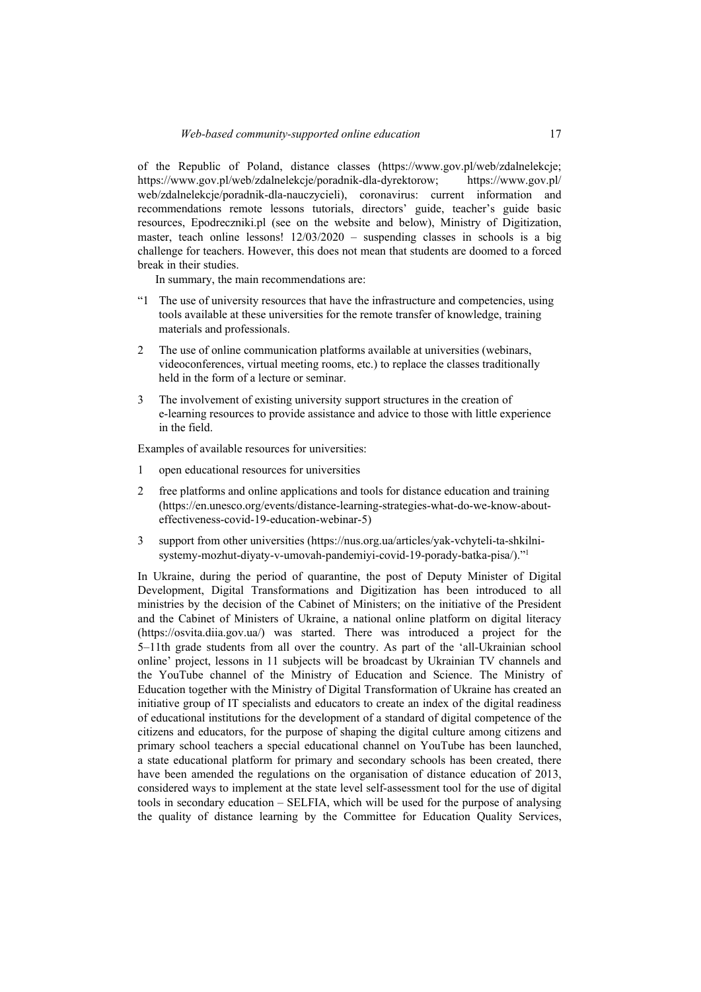of the Republic of Poland, distance classes (https://www.gov.pl/web/zdalnelekcje; https://www.gov.pl/web/zdalnelekcje/poradnik-dla-dyrektorow; https://www.gov.pl/ web/zdalnelekcje/poradnik-dla-nauczycieli), coronavirus: current information and recommendations remote lessons tutorials, directors' guide, teacher's guide basic resources, Epodreczniki.pl (see on the website and below), Ministry of Digitization, master, teach online lessons! 12/03/2020 – suspending classes in schools is a big challenge for teachers. However, this does not mean that students are doomed to a forced break in their studies.

In summary, the main recommendations are:

- "1 The use of university resources that have the infrastructure and competencies, using tools available at these universities for the remote transfer of knowledge, training materials and professionals.
- 2 The use of online communication platforms available at universities (webinars, videoconferences, virtual meeting rooms, etc.) to replace the classes traditionally held in the form of a lecture or seminar.
- 3 The involvement of existing university support structures in the creation of e-learning resources to provide assistance and advice to those with little experience in the field.

Examples of available resources for universities:

- 1 open educational resources for universities
- 2 free platforms and online applications and tools for distance education and training (https://en.unesco.org/events/distance-learning-strategies-what-do-we-know-abouteffectiveness-covid-19-education-webinar-5)
- 3 support from other universities (https://nus.org.ua/articles/yak-vchyteli-ta-shkilnisystemy-mozhut-diyaty-v-umovah-pandemiyi-covid-19-porady-batka-pisa/)."1

In Ukraine, during the period of quarantine, the post of Deputy Minister of Digital Development, Digital Transformations and Digitization has been introduced to all ministries by the decision of the Cabinet of Ministers; on the initiative of the President and the Cabinet of Ministers of Ukraine, a national online platform on digital literacy (https://osvita.diia.gov.ua/) was started. There was introduced a project for the 5–11th grade students from all over the country. As part of the 'all-Ukrainian school online' project, lessons in 11 subjects will be broadcast by Ukrainian TV channels and the YouTube channel of the Ministry of Education and Science. The Ministry of Education together with the Ministry of Digital Transformation of Ukraine has created an initiative group of IT specialists and educators to create an index of the digital readiness of educational institutions for the development of a standard of digital competence of the citizens and educators, for the purpose of shaping the digital culture among citizens and primary school teachers a special educational channel on YouTube has been launched, a state educational platform for primary and secondary schools has been created, there have been amended the regulations on the organisation of distance education of 2013, considered ways to implement at the state level self-assessment tool for the use of digital tools in secondary education – SELFIA, which will be used for the purpose of analysing the quality of distance learning by the Committee for Education Quality Services,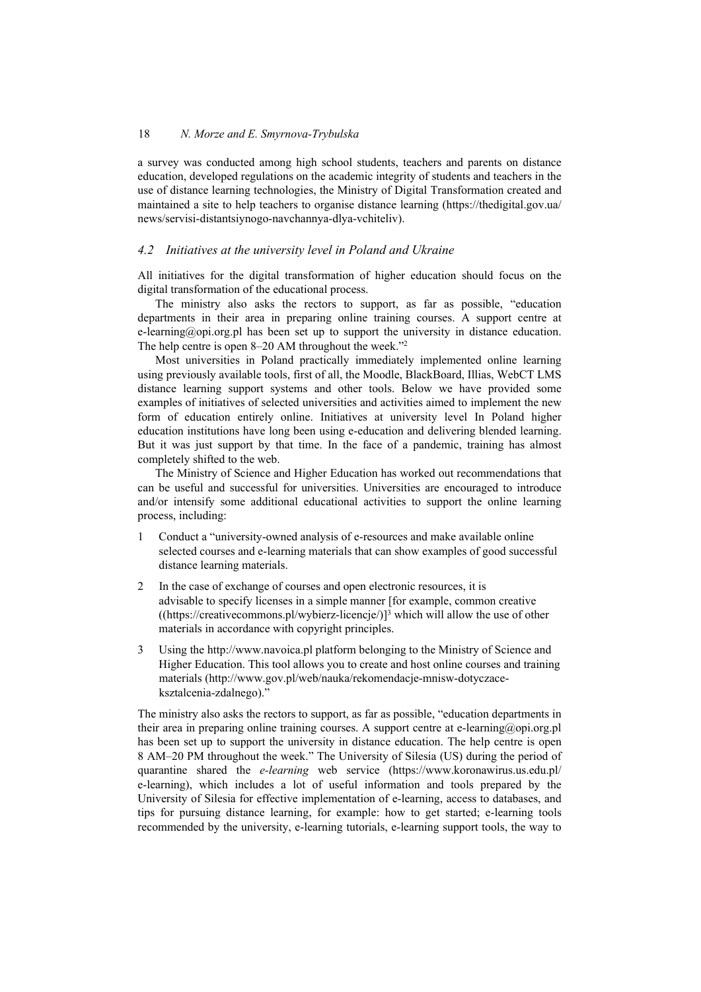a survey was conducted among high school students, teachers and parents on distance education, developed regulations on the academic integrity of students and teachers in the use of distance learning technologies, the Ministry of Digital Transformation created and maintained a site to help teachers to organise distance learning (https://thedigital.gov.ua/ news/servisi-distantsiynogo-navchannya-dlya-vchiteliv).

# *4.2 Initiatives at the university level in Poland and Ukraine*

All initiatives for the digital transformation of higher education should focus on the digital transformation of the educational process.

The ministry also asks the rectors to support, as far as possible, "education departments in their area in preparing online training courses. A support centre at e-learning@opi.org.pl has been set up to support the university in distance education. The help centre is open 8–20 AM throughout the week."2

Most universities in Poland practically immediately implemented online learning using previously available tools, first of all, the Moodle, BlackBoard, Illias, WebCT LMS distance learning support systems and other tools. Below we have provided some examples of initiatives of selected universities and activities aimed to implement the new form of education entirely online. Initiatives at university level In Poland higher education institutions have long been using e-education and delivering blended learning. But it was just support by that time. In the face of a pandemic, training has almost completely shifted to the web.

The Ministry of Science and Higher Education has worked out recommendations that can be useful and successful for universities. Universities are encouraged to introduce and/or intensify some additional educational activities to support the online learning process, including:

- 1 Conduct a "university-owned analysis of e-resources and make available online selected courses and e-learning materials that can show examples of good successful distance learning materials.
- 2 In the case of exchange of courses and open electronic resources, it is advisable to specify licenses in a simple manner [for example, common creative  $(\frac{(\text{https://creativecommons.org/licenses/by/10.100/10.100}gt{https://creativecommons.org/licenses/by/10.100/10.100/10.100}gt{https://creativecommons.org/licenses/by/10.100/10.100/10.100/10.100}gt{https://creativecommons.org/licenses/by/10.100/10.100/10.100/10.100/10.100}gt{https://creativecommons.org/licenses/by/10.100/10.100/10.100/10.100/10.100/10.100}gt{https://creativecommons.org/licenses/by/10.100/10.100/10.100/1$ materials in accordance with copyright principles.
- 3 Using the http://www.navoica.pl platform belonging to the Ministry of Science and Higher Education. This tool allows you to create and host online courses and training materials (http://www.gov.pl/web/nauka/rekomendacje-mnisw-dotyczaceksztalcenia-zdalnego)."

The ministry also asks the rectors to support, as far as possible, "education departments in their area in preparing online training courses. A support centre at e-learning@opi.org.pl has been set up to support the university in distance education. The help centre is open 8 AM–20 PM throughout the week." The University of Silesia (US) during the period of quarantine shared the *e-learning* web service (https://www.koronawirus.us.edu.pl/ e-learning), which includes a lot of useful information and tools prepared by the University of Silesia for effective implementation of e-learning, access to databases, and tips for pursuing distance learning, for example: how to get started; e-learning tools recommended by the university, e-learning tutorials, e-learning support tools, the way to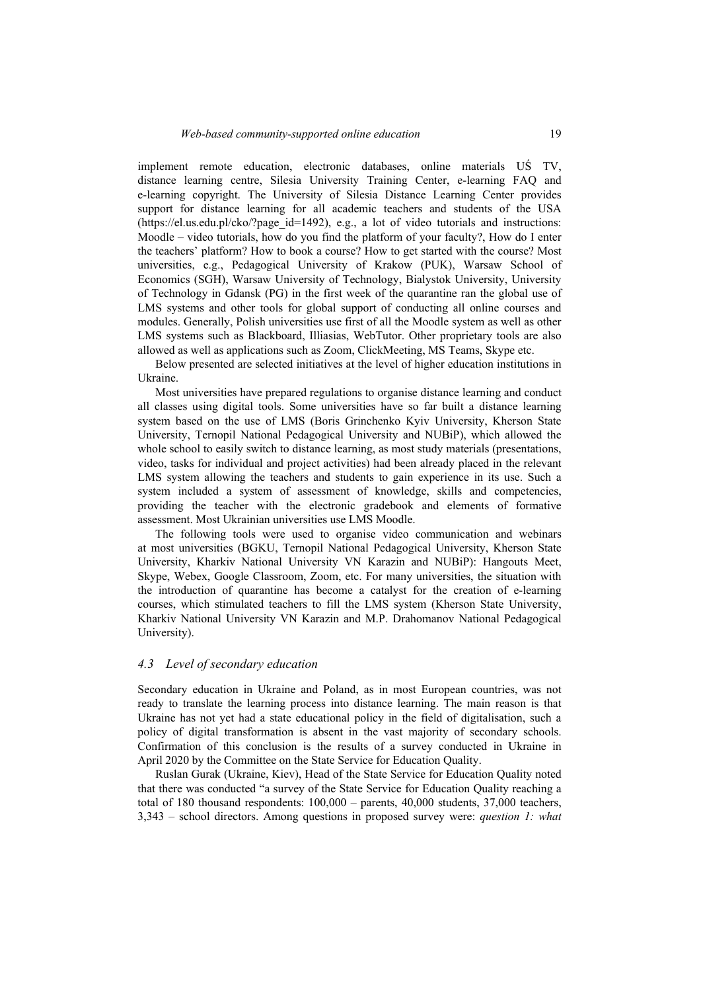implement remote education, electronic databases, online materials UŚ TV, distance learning centre, Silesia University Training Center, e-learning FAQ and e-learning copyright. The University of Silesia Distance Learning Center provides support for distance learning for all academic teachers and students of the USA  $(\text{https://el.us.edu.pl/cko/?page id=1492}), e.g., a lot of video tutorials and instructions:$ Moodle – video tutorials, how do you find the platform of your faculty?, How do I enter the teachers' platform? How to book a course? How to get started with the course? Most universities, e.g., Pedagogical University of Krakow (PUK), Warsaw School of Economics (SGH), Warsaw University of Technology, Bialystok University, University of Technology in Gdansk (PG) in the first week of the quarantine ran the global use of LMS systems and other tools for global support of conducting all online courses and modules. Generally, Polish universities use first of all the Moodle system as well as other LMS systems such as Blackboard, Illiasias, WebTutor. Other proprietary tools are also allowed as well as applications such as Zoom, ClickMeeting, MS Teams, Skype etc.

Below presented are selected initiatives at the level of higher education institutions in Ukraine.

Most universities have prepared regulations to organise distance learning and conduct all classes using digital tools. Some universities have so far built a distance learning system based on the use of LMS (Boris Grinchenko Kyiv University, Kherson State University, Ternopil National Pedagogical University and NUBiP), which allowed the whole school to easily switch to distance learning, as most study materials (presentations, video, tasks for individual and project activities) had been already placed in the relevant LMS system allowing the teachers and students to gain experience in its use. Such a system included a system of assessment of knowledge, skills and competencies, providing the teacher with the electronic gradebook and elements of formative assessment. Most Ukrainian universities use LMS Moodle.

The following tools were used to organise video communication and webinars at most universities (BGKU, Ternopil National Pedagogical University, Kherson State University, Kharkiv National University VN Karazin and NUBiP): Hangouts Meet, Skype, Webex, Google Classroom, Zoom, etc. For many universities, the situation with the introduction of quarantine has become a catalyst for the creation of e-learning courses, which stimulated teachers to fill the LMS system (Kherson State University, Kharkiv National University VN Karazin and M.P. Drahomanov National Pedagogical University).

#### *4.3 Level of secondary education*

Secondary education in Ukraine and Poland, as in most European countries, was not ready to translate the learning process into distance learning. The main reason is that Ukraine has not yet had a state educational policy in the field of digitalisation, such a policy of digital transformation is absent in the vast majority of secondary schools. Confirmation of this conclusion is the results of a survey conducted in Ukraine in April 2020 by the Committee on the State Service for Education Quality.

Ruslan Gurak (Ukraine, Kiev), Head of the State Service for Education Quality noted that there was conducted "a survey of the State Service for Education Quality reaching a total of 180 thousand respondents: 100,000 – parents, 40,000 students, 37,000 teachers, 3,343 – school directors. Among questions in proposed survey were: *question 1: what*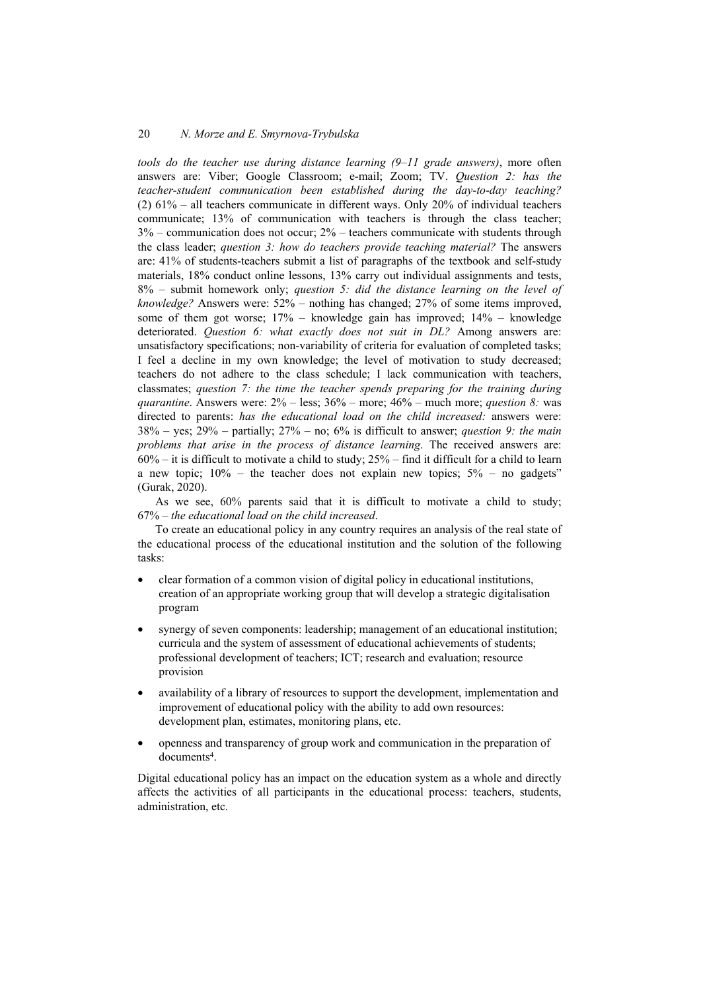*tools do the teacher use during distance learning (9–11 grade answers)*, more often answers are: Viber; Google Classroom; e-mail; Zoom; TV. *Question 2: has the teacher-student communication been established during the day-to-day teaching?* (2) 61% – all teachers communicate in different ways. Only 20% of individual teachers communicate; 13% of communication with teachers is through the class teacher; 3% – communication does not occur; 2% – teachers communicate with students through the class leader; *question 3: how do teachers provide teaching material?* The answers are: 41% of students-teachers submit a list of paragraphs of the textbook and self-study materials, 18% conduct online lessons, 13% carry out individual assignments and tests, 8% – submit homework only; *question 5: did the distance learning on the level of knowledge?* Answers were: 52% – nothing has changed; 27% of some items improved, some of them got worse; 17% – knowledge gain has improved; 14% – knowledge deteriorated. *Question 6: what exactly does not suit in DL?* Among answers are: unsatisfactory specifications; non-variability of criteria for evaluation of completed tasks; I feel a decline in my own knowledge; the level of motivation to study decreased; teachers do not adhere to the class schedule; I lack communication with teachers, classmates; *question 7: the time the teacher spends preparing for the training during quarantine*. Answers were: 2% – less; 36% – more; 46% – much more; *question 8:* was directed to parents: *has the educational load on the child increased:* answers were: 38% – yes; 29% – partially; 27% – no; 6% is difficult to answer; *question 9: the main problems that arise in the process of distance learning*. The received answers are:  $60\%$  – it is difficult to motivate a child to study;  $25\%$  – find it difficult for a child to learn a new topic;  $10\%$  – the teacher does not explain new topics;  $5\%$  – no gadgets" (Gurak, 2020).

As we see, 60% parents said that it is difficult to motivate a child to study; 67% – *the educational load on the child increased*.

To create an educational policy in any country requires an analysis of the real state of the educational process of the educational institution and the solution of the following tasks:

- clear formation of a common vision of digital policy in educational institutions, creation of an appropriate working group that will develop a strategic digitalisation program
- synergy of seven components: leadership; management of an educational institution; curricula and the system of assessment of educational achievements of students; professional development of teachers; ICT; research and evaluation; resource provision
- availability of a library of resources to support the development, implementation and improvement of educational policy with the ability to add own resources: development plan, estimates, monitoring plans, etc.
- openness and transparency of group work and communication in the preparation of documents4.

Digital educational policy has an impact on the education system as a whole and directly affects the activities of all participants in the educational process: teachers, students, administration, etc.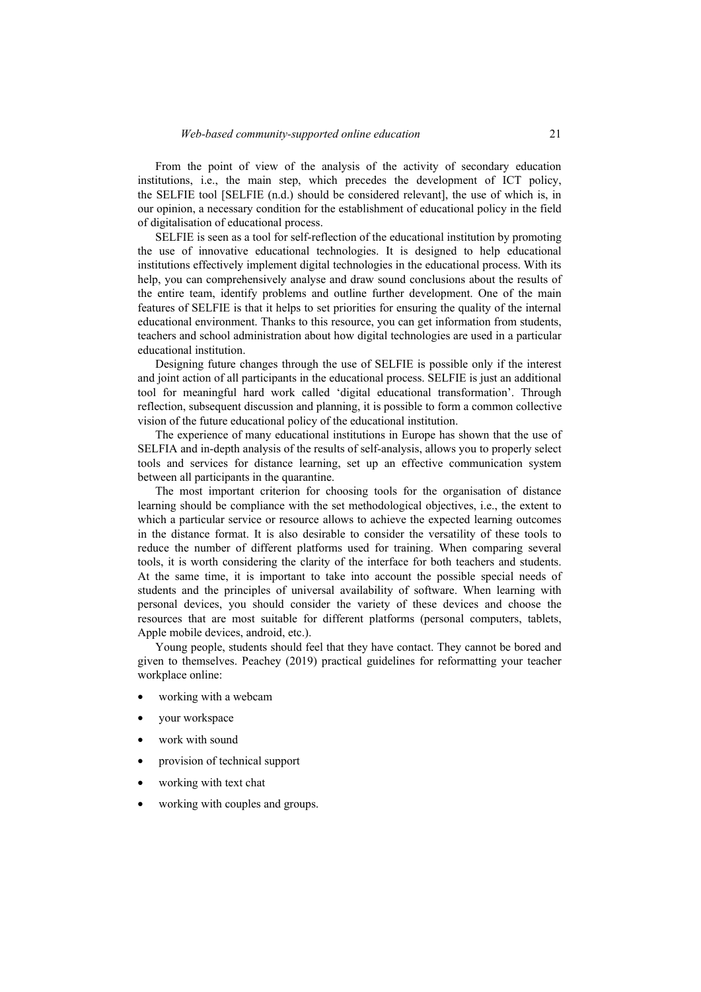From the point of view of the analysis of the activity of secondary education institutions, i.e., the main step, which precedes the development of ICT policy, the SELFIE tool [SELFIE (n.d.) should be considered relevant], the use of which is, in our opinion, a necessary condition for the establishment of educational policy in the field of digitalisation of educational process.

SELFIE is seen as a tool for self-reflection of the educational institution by promoting the use of innovative educational technologies. It is designed to help educational institutions effectively implement digital technologies in the educational process. With its help, you can comprehensively analyse and draw sound conclusions about the results of the entire team, identify problems and outline further development. One of the main features of SELFIE is that it helps to set priorities for ensuring the quality of the internal educational environment. Thanks to this resource, you can get information from students, teachers and school administration about how digital technologies are used in a particular educational institution.

Designing future changes through the use of SELFIE is possible only if the interest and joint action of all participants in the educational process. SELFIE is just an additional tool for meaningful hard work called 'digital educational transformation'. Through reflection, subsequent discussion and planning, it is possible to form a common collective vision of the future educational policy of the educational institution.

The experience of many educational institutions in Europe has shown that the use of SELFIA and in-depth analysis of the results of self-analysis, allows you to properly select tools and services for distance learning, set up an effective communication system between all participants in the quarantine.

The most important criterion for choosing tools for the organisation of distance learning should be compliance with the set methodological objectives, i.e., the extent to which a particular service or resource allows to achieve the expected learning outcomes in the distance format. It is also desirable to consider the versatility of these tools to reduce the number of different platforms used for training. When comparing several tools, it is worth considering the clarity of the interface for both teachers and students. At the same time, it is important to take into account the possible special needs of students and the principles of universal availability of software. When learning with personal devices, you should consider the variety of these devices and choose the resources that are most suitable for different platforms (personal computers, tablets, Apple mobile devices, android, etc.).

Young people, students should feel that they have contact. They cannot be bored and given to themselves. Peachey (2019) practical guidelines for reformatting your teacher workplace online:

- working with a webcam
- your workspace
- work with sound
- provision of technical support
- working with text chat
- working with couples and groups.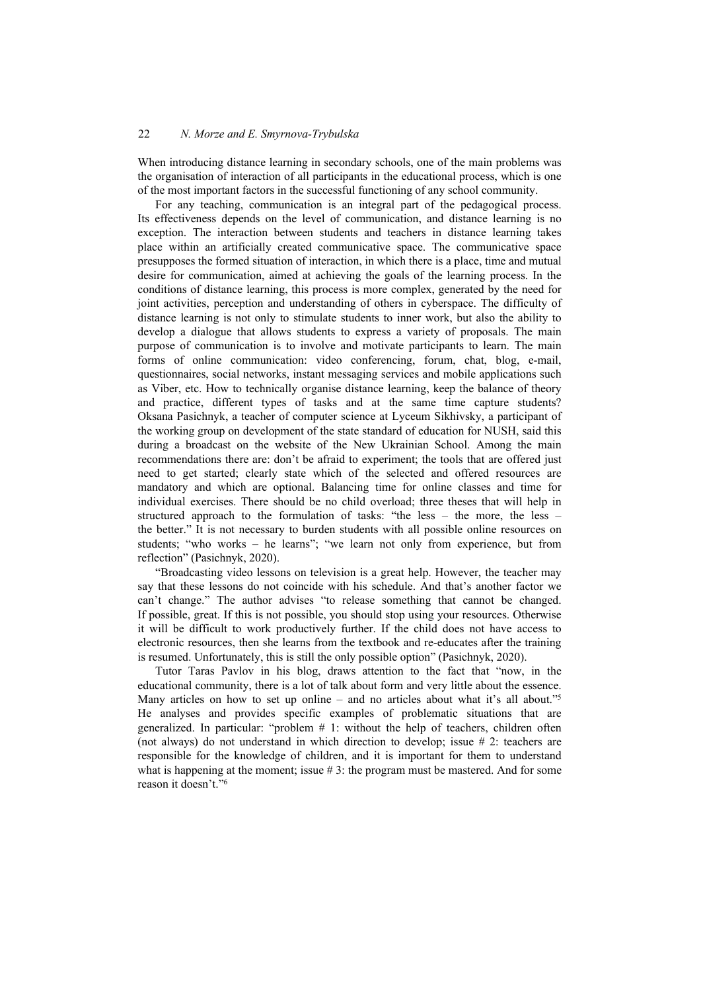When introducing distance learning in secondary schools, one of the main problems was the organisation of interaction of all participants in the educational process, which is one of the most important factors in the successful functioning of any school community.

For any teaching, communication is an integral part of the pedagogical process. Its effectiveness depends on the level of communication, and distance learning is no exception. The interaction between students and teachers in distance learning takes place within an artificially created communicative space. The communicative space presupposes the formed situation of interaction, in which there is a place, time and mutual desire for communication, aimed at achieving the goals of the learning process. In the conditions of distance learning, this process is more complex, generated by the need for joint activities, perception and understanding of others in cyberspace. The difficulty of distance learning is not only to stimulate students to inner work, but also the ability to develop a dialogue that allows students to express a variety of proposals. The main purpose of communication is to involve and motivate participants to learn. The main forms of online communication: video conferencing, forum, chat, blog, e-mail, questionnaires, social networks, instant messaging services and mobile applications such as Viber, etc. How to technically organise distance learning, keep the balance of theory and practice, different types of tasks and at the same time capture students? Oksana Pasichnyk, a teacher of computer science at Lyceum Sikhivsky, a participant of the working group on development of the state standard of education for NUSH, said this during a broadcast on the website of the New Ukrainian School. Among the main recommendations there are: don't be afraid to experiment; the tools that are offered just need to get started; clearly state which of the selected and offered resources are mandatory and which are optional. Balancing time for online classes and time for individual exercises. There should be no child overload; three theses that will help in structured approach to the formulation of tasks: "the less – the more, the less – the better." It is not necessary to burden students with all possible online resources on students; "who works – he learns"; "we learn not only from experience, but from reflection" (Pasichnyk, 2020).

"Broadcasting video lessons on television is a great help. However, the teacher may say that these lessons do not coincide with his schedule. And that's another factor we can't change." The author advises "to release something that cannot be changed. If possible, great. If this is not possible, you should stop using your resources. Otherwise it will be difficult to work productively further. If the child does not have access to electronic resources, then she learns from the textbook and re-educates after the training is resumed. Unfortunately, this is still the only possible option" (Pasichnyk, 2020).

Tutor Taras Pavlov in his blog, draws attention to the fact that "now, in the educational community, there is a lot of talk about form and very little about the essence. Many articles on how to set up online – and no articles about what it's all about."<sup>5</sup> He analyses and provides specific examples of problematic situations that are generalized. In particular: "problem  $# 1$ : without the help of teachers, children often (not always) do not understand in which direction to develop; issue # 2: teachers are responsible for the knowledge of children, and it is important for them to understand what is happening at the moment; issue  $# 3$ : the program must be mastered. And for some reason it doesn't."6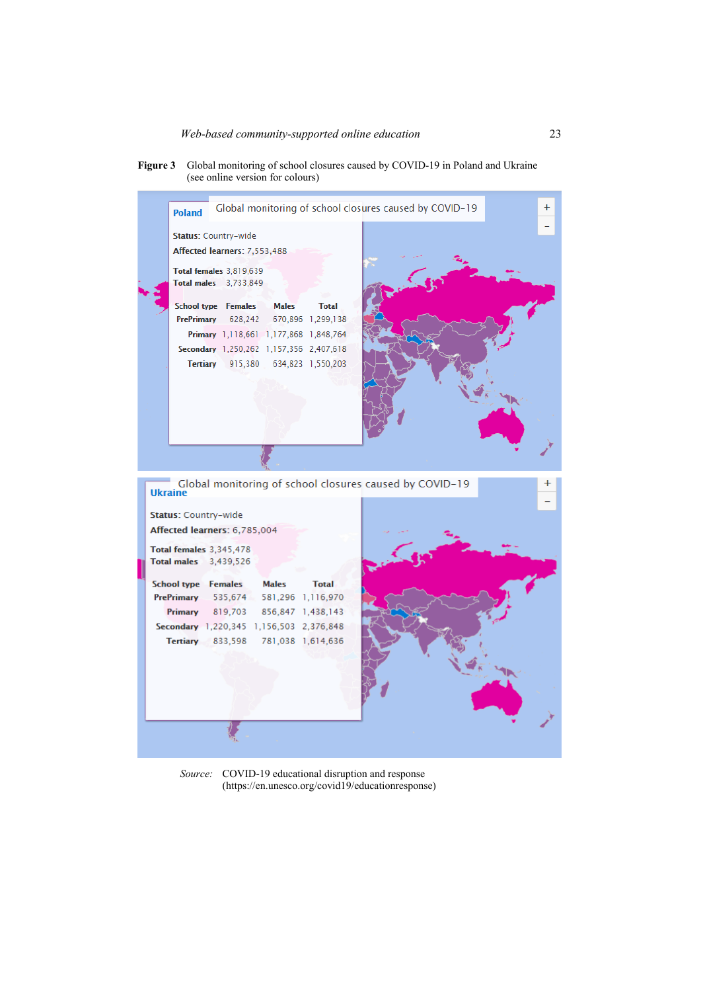



*Source:* COVID-19 educational disruption and response (https://en.unesco.org/covid19/educationresponse)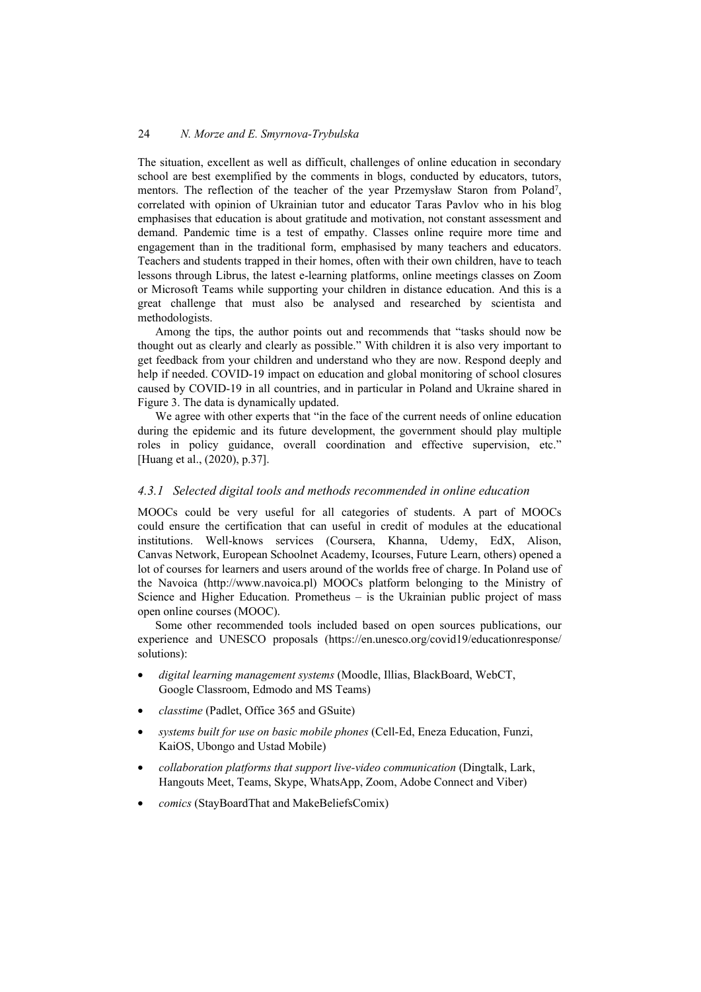The situation, excellent as well as difficult, challenges of online education in secondary school are best exemplified by the comments in blogs, conducted by educators, tutors, mentors. The reflection of the teacher of the year Przemysław Staron from Poland7, correlated with opinion of Ukrainian tutor and educator Taras Pavlov who in his blog emphasises that education is about gratitude and motivation, not constant assessment and demand. Pandemic time is a test of empathy. Classes online require more time and engagement than in the traditional form, emphasised by many teachers and educators. Teachers and students trapped in their homes, often with their own children, have to teach lessons through Librus, the latest e-learning platforms, online meetings classes on Zoom or Microsoft Teams while supporting your children in distance education. And this is a great challenge that must also be analysed and researched by scientista and methodologists.

Among the tips, the author points out and recommends that "tasks should now be thought out as clearly and clearly as possible." With children it is also very important to get feedback from your children and understand who they are now. Respond deeply and help if needed. COVID-19 impact on education and global monitoring of school closures caused by COVID-19 in all countries, and in particular in Poland and Ukraine shared in Figure 3. The data is dynamically updated.

We agree with other experts that "in the face of the current needs of online education during the epidemic and its future development, the government should play multiple roles in policy guidance, overall coordination and effective supervision, etc." [Huang et al., (2020), p.37].

### *4.3.1 Selected digital tools and methods recommended in online education*

MOOCs could be very useful for all categories of students. A part of MOOCs could ensure the certification that can useful in credit of modules at the educational institutions. Well-knows services (Coursera, Khanna, Udemy, EdX, Alison, Canvas Network, European Schoolnet Academy, Icourses, Future Learn, others) opened a lot of courses for learners and users around of the worlds free of charge. In Poland use of the Navoica (http://www.navoica.pl) MOOCs platform belonging to the Ministry of Science and Higher Education. Prometheus – is the Ukrainian public project of mass open online courses (MOOC).

Some other recommended tools included based on open sources publications, our experience and UNESCO proposals (https://en.unesco.org/covid19/educationresponse/ solutions):

- *digital learning management systems* (Moodle, Illias, BlackBoard, WebCT, Google Classroom, Edmodo and MS Teams)
- *classtime* (Padlet, Office 365 and GSuite)
- *systems built for use on basic mobile phones* (Cell-Ed, Eneza Education, Funzi, KaiOS, Ubongo and Ustad Mobile)
- *collaboration platforms that support live-video communication* (Dingtalk, Lark, Hangouts Meet, Teams, Skype, WhatsApp, Zoom, Adobe Connect and Viber)
- *comics* (StayBoardThat and MakeBeliefsComix)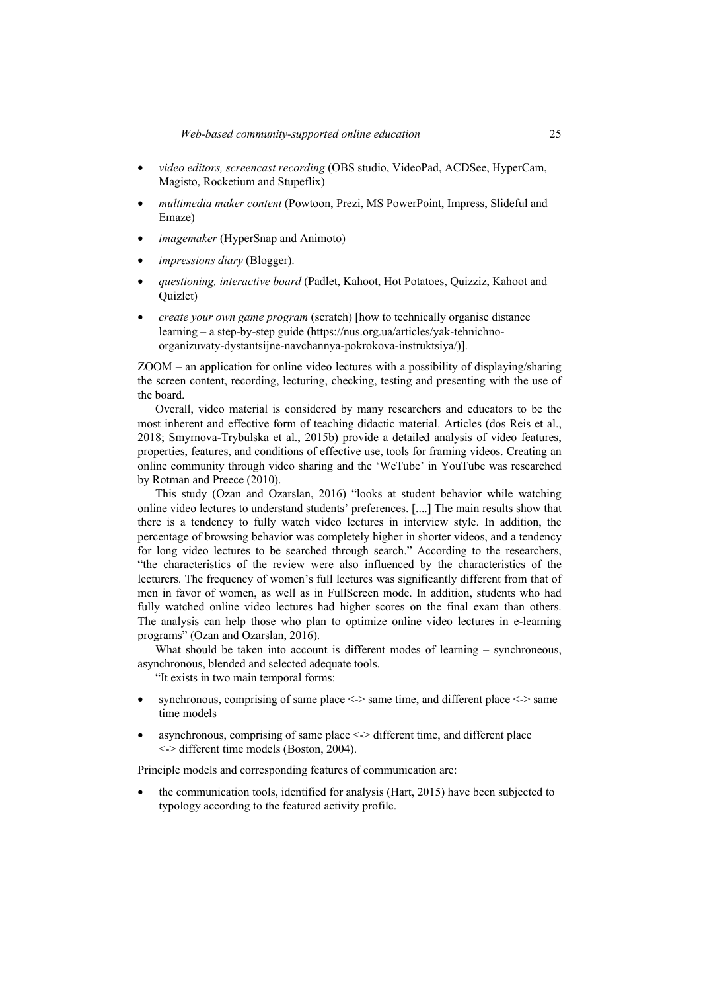- *video editors, screencast recording* (OBS studio, VideoPad, ACDSee, HyperCam, Magisto, Rocketium and Stupeflix)
- *multimedia maker content* (Powtoon, Prezi, MS PowerPoint, Impress, Slideful and Emaze)
- *imagemaker* (HyperSnap and Animoto)
- *impressions diary* (Blogger).
- *questioning, interactive board* (Padlet, Kahoot, Hot Potatoes, Quizziz, Kahoot and Quizlet)
- *create your own game program* (scratch) [how to technically organise distance learning – a step-by-step guide (https://nus.org.ua/articles/yak-tehnichnoorganizuvaty-dystantsijne-navchannya-pokrokova-instruktsiya/)].

ZOOM – an application for online video lectures with a possibility of displaying/sharing the screen content, recording, lecturing, checking, testing and presenting with the use of the board.

Overall, video material is considered by many researchers and educators to be the most inherent and effective form of teaching didactic material. Articles (dos Reis et al., 2018; Smyrnova-Trybulska et al., 2015b) provide a detailed analysis of video features, properties, features, and conditions of effective use, tools for framing videos. Creating an online community through video sharing and the 'WeTube' in YouTube was researched by Rotman and Preece (2010).

This study (Ozan and Ozarslan, 2016) "looks at student behavior while watching online video lectures to understand students' preferences. [....] The main results show that there is a tendency to fully watch video lectures in interview style. In addition, the percentage of browsing behavior was completely higher in shorter videos, and a tendency for long video lectures to be searched through search." According to the researchers, "the characteristics of the review were also influenced by the characteristics of the lecturers. The frequency of women's full lectures was significantly different from that of men in favor of women, as well as in FullScreen mode. In addition, students who had fully watched online video lectures had higher scores on the final exam than others. The analysis can help those who plan to optimize online video lectures in e-learning programs" (Ozan and Ozarslan, 2016).

What should be taken into account is different modes of learning – synchroneous, asynchronous, blended and selected adequate tools.

"It exists in two main temporal forms:

- synchronous, comprising of same place <-> same time, and different place <-> same time models
- asynchronous, comprising of same place <-> different time, and different place <-> different time models (Boston, 2004).

Principle models and corresponding features of communication are:

• the communication tools, identified for analysis (Hart, 2015) have been subjected to typology according to the featured activity profile.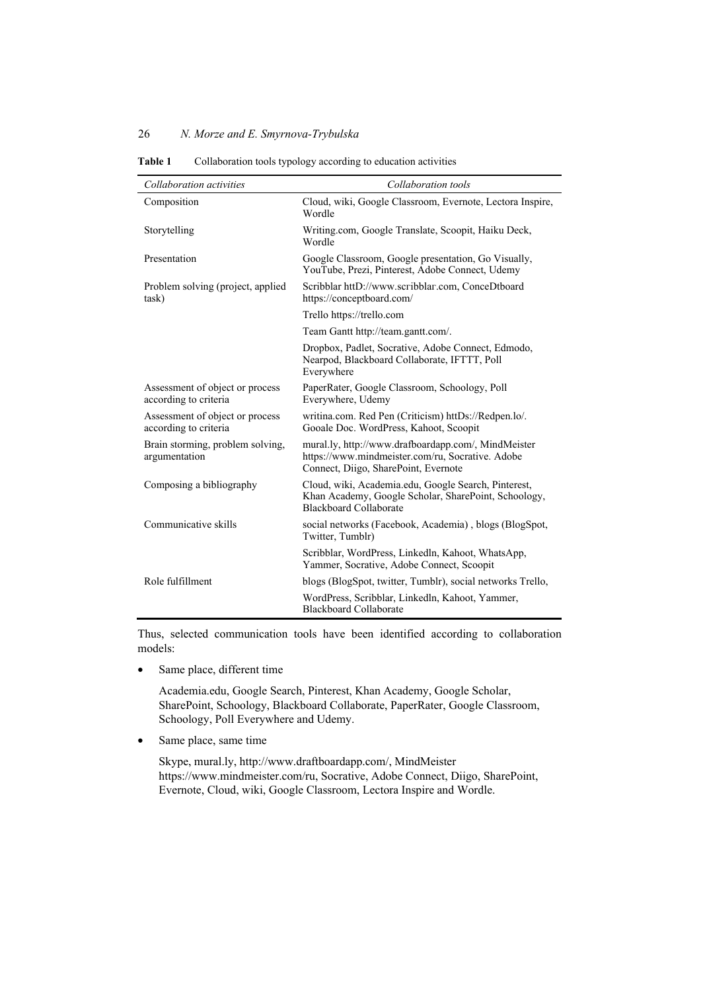| Collaboration activities                                 | Collaboration tools                                                                                                                             |
|----------------------------------------------------------|-------------------------------------------------------------------------------------------------------------------------------------------------|
| Composition                                              | Cloud, wiki, Google Classroom, Evernote, Lectora Inspire,<br>Wordle                                                                             |
| Storytelling                                             | Writing.com, Google Translate, Scoopit, Haiku Deck,<br>Wordle                                                                                   |
| Presentation                                             | Google Classroom, Google presentation, Go Visually,<br>YouTube, Prezi, Pinterest, Adobe Connect, Udemy                                          |
| Problem solving (project, applied<br>task)               | Scribblar httD://www.scribblar.com, ConceDtboard<br>https://conceptboard.com/                                                                   |
|                                                          | Trello https://trello.com                                                                                                                       |
|                                                          | Team Gantt http://team.gantt.com/.                                                                                                              |
|                                                          | Dropbox, Padlet, Socrative, Adobe Connect, Edmodo,<br>Nearpod, Blackboard Collaborate, IFTTT, Poll<br>Everywhere                                |
| Assessment of object or process<br>according to criteria | PaperRater, Google Classroom, Schoology, Poll<br>Everywhere, Udemy                                                                              |
| Assessment of object or process<br>according to criteria | writina.com. Red Pen (Criticism) httDs://Redpen.lo/.<br>Gooale Doc. WordPress, Kahoot, Scoopit                                                  |
| Brain storming, problem solving,<br>argumentation        | mural.ly, http://www.drafboardapp.com/, MindMeister<br>https://www.mindmeister.com/ru, Socrative. Adobe<br>Connect, Diigo, SharePoint, Evernote |
| Composing a bibliography                                 | Cloud, wiki, Academia.edu, Google Search, Pinterest,<br>Khan Academy, Google Scholar, SharePoint, Schoology,<br><b>Blackboard Collaborate</b>   |
| Communicative skills                                     | social networks (Facebook, Academia), blogs (BlogSpot,<br>Twitter, Tumblr)                                                                      |
|                                                          | Scribblar, WordPress, Linkedln, Kahoot, WhatsApp,<br>Yammer, Socrative, Adobe Connect, Scoopit                                                  |
| Role fulfillment                                         | blogs (BlogSpot, twitter, Tumblr), social networks Trello,                                                                                      |
|                                                          | WordPress, Scribblar, Linkedln, Kahoot, Yammer,<br>Blackboard Collaborate                                                                       |

Table 1 Collaboration tools typology according to education activities

Thus, selected communication tools have been identified according to collaboration models:

• Same place, different time

Academia.edu, Google Search, Pinterest, Khan Academy, Google Scholar, SharePoint, Schoology, Blackboard Collaborate, PaperRater, Google Classroom, Schoology, Poll Everywhere and Udemy.

• Same place, same time

Skype, mural.ly, http://www.draftboardapp.com/, MindMeister https://www.mindmeister.com/ru, Socrative, Adobe Connect, Diigo, SharePoint, Evernote, Cloud, wiki, Google Classroom, Lectora Inspire and Wordle.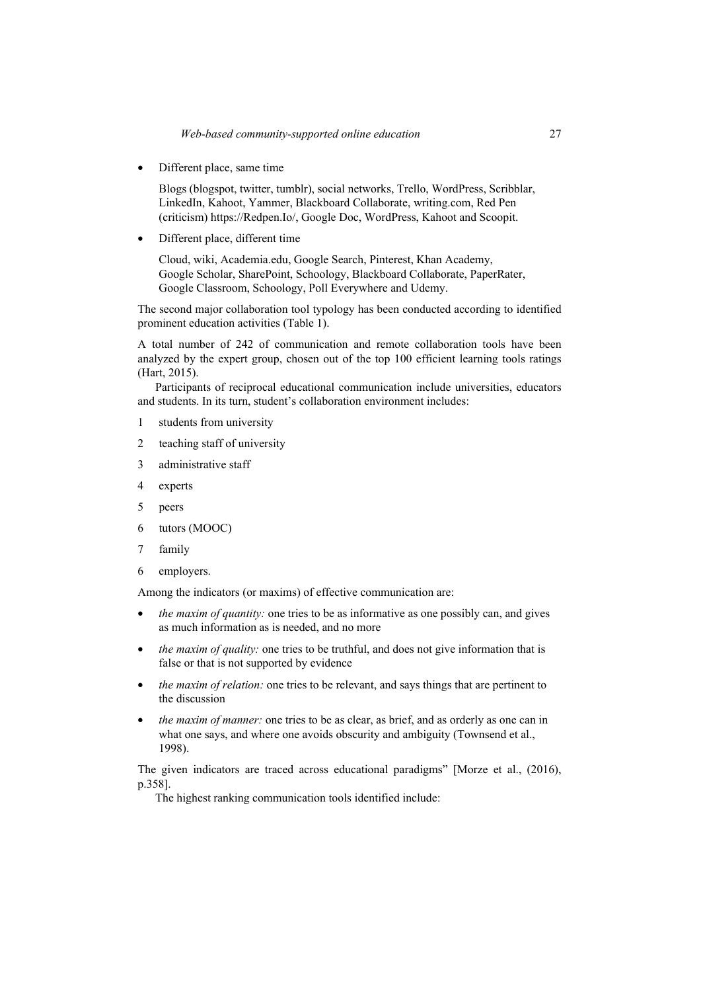• Different place, same time

Blogs (blogspot, twitter, tumblr), social networks, Trello, WordPress, Scribblar, LinkedIn, Kahoot, Yammer, Blackboard Collaborate, writing.com, Red Pen (criticism) https://Redpen.Io/, Google Doc, WordPress, Kahoot and Scoopit.

• Different place, different time

Cloud, wiki, Academia.edu, Google Search, Pinterest, Khan Academy, Google Scholar, SharePoint, Schoology, Blackboard Collaborate, PaperRater, Google Classroom, Schoology, Poll Everywhere and Udemy.

The second major collaboration tool typology has been conducted according to identified prominent education activities (Table 1).

A total number of 242 of communication and remote collaboration tools have been analyzed by the expert group, chosen out of the top 100 efficient learning tools ratings (Hart, 2015).

Participants of reciprocal educational communication include universities, educators and students. In its turn, student's collaboration environment includes:

- 1 students from university
- 2 teaching staff of university
- 3 administrative staff
- 4 experts
- 5 peers
- 6 tutors (MOOC)
- 7 family
- 6 employers.

Among the indicators (or maxims) of effective communication are:

- *the maxim of quantity:* one tries to be as informative as one possibly can, and gives as much information as is needed, and no more
- *the maxim of quality:* one tries to be truthful, and does not give information that is false or that is not supported by evidence
- *the maxim of relation:* one tries to be relevant, and says things that are pertinent to the discussion
- *the maxim of manner:* one tries to be as clear, as brief, and as orderly as one can in what one says, and where one avoids obscurity and ambiguity (Townsend et al., 1998).

The given indicators are traced across educational paradigms" [Morze et al., (2016), p.358].

The highest ranking communication tools identified include: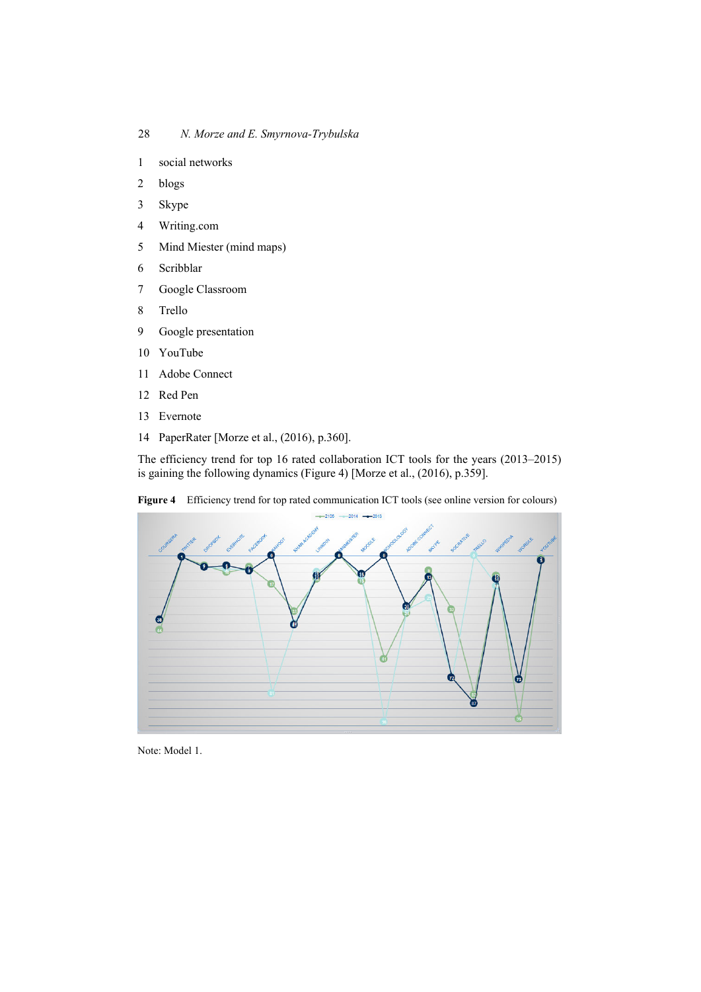- 1 social networks
- 2 blogs
- 3 Skype
- 4 Writing.com
- 5 Mind Miester (mind maps)
- 6 Scribblar
- 7 Google Classroom
- 8 Trello
- 9 Google presentation
- 10 YouTube
- 11 Adobe Connect
- 12 Red Pen
- 13 Evernote
- 14 PaperRater [Morze et al., (2016), p.360].

The efficiency trend for top 16 rated collaboration ICT tools for the years (2013–2015) is gaining the following dynamics (Figure 4) [Morze et al., (2016), p.359].

**Figure 4** Efficiency trend for top rated communication ICT tools (see online version for colours)



Note: Model 1.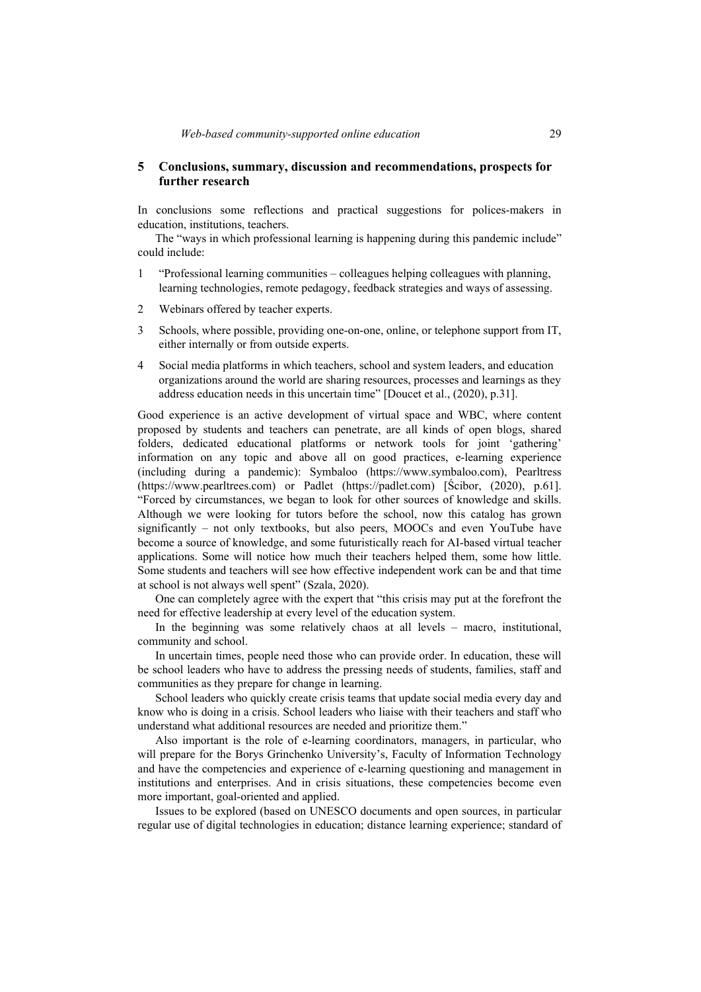# **5 Conclusions, summary, discussion and recommendations, prospects for further research**

In conclusions some reflections and practical suggestions for polices-makers in education, institutions, teachers.

The "ways in which professional learning is happening during this pandemic include" could include:

- 1 "Professional learning communities colleagues helping colleagues with planning, learning technologies, remote pedagogy, feedback strategies and ways of assessing.
- 2 Webinars offered by teacher experts.
- 3 Schools, where possible, providing one-on-one, online, or telephone support from IT, either internally or from outside experts.
- 4 Social media platforms in which teachers, school and system leaders, and education organizations around the world are sharing resources, processes and learnings as they address education needs in this uncertain time" [Doucet et al., (2020), p.31].

Good experience is an active development of virtual space and WBC, where content proposed by students and teachers can penetrate, are all kinds of open blogs, shared folders, dedicated educational platforms or network tools for joint 'gathering' information on any topic and above all on good practices, e-learning experience (including during a pandemic): Symbaloo (https://www.symbaloo.com), Pearltress (https://www.pearltrees.com) or Padlet (https://padlet.com) [Ścibor, (2020), p.61]. "Forced by circumstances, we began to look for other sources of knowledge and skills. Although we were looking for tutors before the school, now this catalog has grown significantly – not only textbooks, but also peers, MOOCs and even YouTube have become a source of knowledge, and some futuristically reach for AI-based virtual teacher applications. Some will notice how much their teachers helped them, some how little. Some students and teachers will see how effective independent work can be and that time at school is not always well spent" (Szala, 2020).

One can completely agree with the expert that "this crisis may put at the forefront the need for effective leadership at every level of the education system.

In the beginning was some relatively chaos at all levels – macro, institutional, community and school.

In uncertain times, people need those who can provide order. In education, these will be school leaders who have to address the pressing needs of students, families, staff and communities as they prepare for change in learning.

School leaders who quickly create crisis teams that update social media every day and know who is doing in a crisis. School leaders who liaise with their teachers and staff who understand what additional resources are needed and prioritize them."

Also important is the role of e-learning coordinators, managers, in particular, who will prepare for the Borys Grinchenko University's, Faculty of Information Technology and have the competencies and experience of e-learning questioning and management in institutions and enterprises. And in crisis situations, these competencies become even more important, goal-oriented and applied.

Issues to be explored (based on UNESCO documents and open sources, in particular regular use of digital technologies in education; distance learning experience; standard of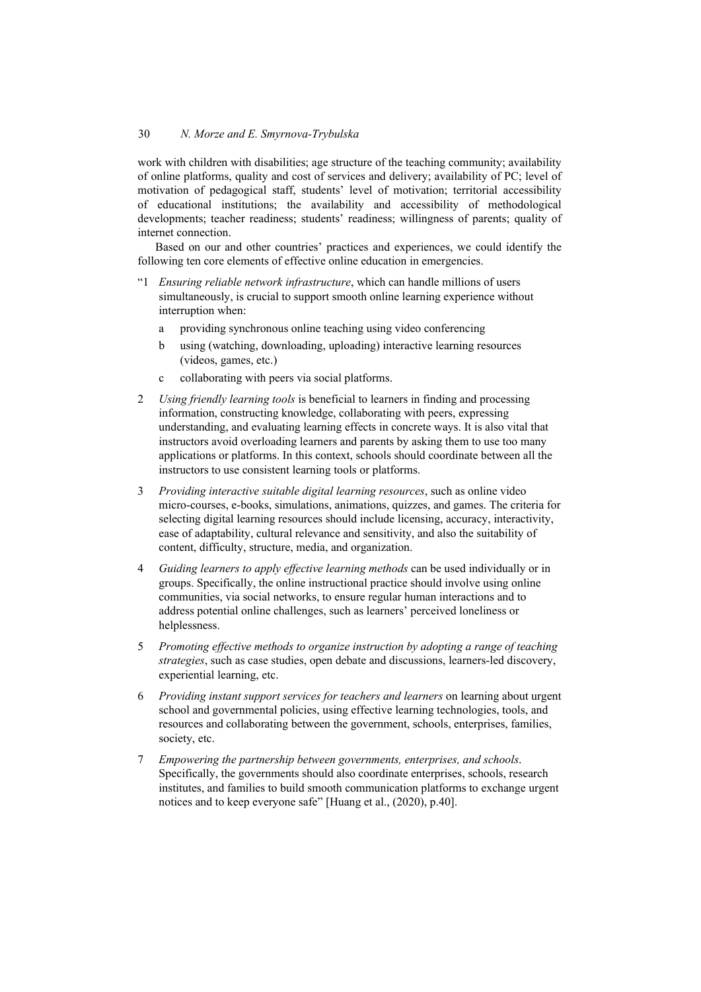work with children with disabilities; age structure of the teaching community; availability of online platforms, quality and cost of services and delivery; availability of PC; level of motivation of pedagogical staff, students' level of motivation; territorial accessibility of educational institutions; the availability and accessibility of methodological developments; teacher readiness; students' readiness; willingness of parents; quality of internet connection.

Based on our and other countries' practices and experiences, we could identify the following ten core elements of effective online education in emergencies.

- "1 *Ensuring reliable network infrastructure*, which can handle millions of users simultaneously, is crucial to support smooth online learning experience without interruption when:
	- a providing synchronous online teaching using video conferencing
	- b using (watching, downloading, uploading) interactive learning resources (videos, games, etc.)
	- c collaborating with peers via social platforms.
- 2 *Using friendly learning tools* is beneficial to learners in finding and processing information, constructing knowledge, collaborating with peers, expressing understanding, and evaluating learning effects in concrete ways. It is also vital that instructors avoid overloading learners and parents by asking them to use too many applications or platforms. In this context, schools should coordinate between all the instructors to use consistent learning tools or platforms.
- 3 *Providing interactive suitable digital learning resources*, such as online video micro-courses, e-books, simulations, animations, quizzes, and games. The criteria for selecting digital learning resources should include licensing, accuracy, interactivity, ease of adaptability, cultural relevance and sensitivity, and also the suitability of content, difficulty, structure, media, and organization.
- 4 *Guiding learners to apply effective learning methods* can be used individually or in groups. Specifically, the online instructional practice should involve using online communities, via social networks, to ensure regular human interactions and to address potential online challenges, such as learners' perceived loneliness or helplessness.
- 5 *Promoting effective methods to organize instruction by adopting a range of teaching strategies*, such as case studies, open debate and discussions, learners-led discovery, experiential learning, etc.
- 6 *Providing instant support services for teachers and learners* on learning about urgent school and governmental policies, using effective learning technologies, tools, and resources and collaborating between the government, schools, enterprises, families, society, etc.
- 7 *Empowering the partnership between governments, enterprises, and schools*. Specifically, the governments should also coordinate enterprises, schools, research institutes, and families to build smooth communication platforms to exchange urgent notices and to keep everyone safe" [Huang et al., (2020), p.40].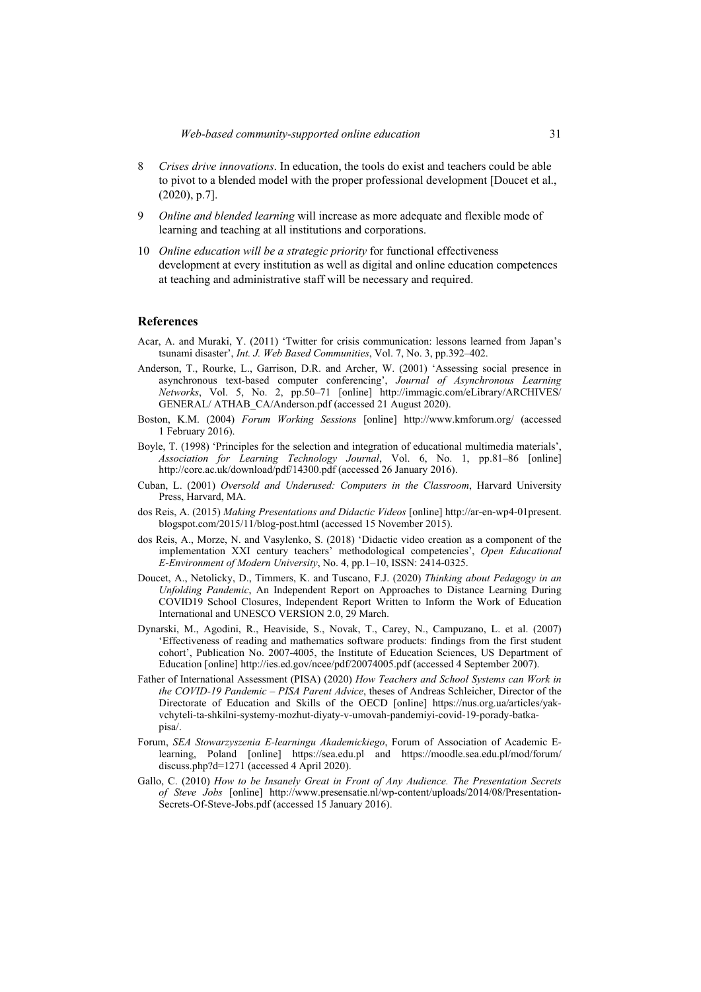- 8 *Crises drive innovations*. In education, the tools do exist and teachers could be able to pivot to a blended model with the proper professional development [Doucet et al., (2020), p.7].
- 9 *Online and blended learning* will increase as more adequate and flexible mode of learning and teaching at all institutions and corporations.
- 10 *Online education will be a strategic priority* for functional effectiveness development at every institution as well as digital and online education competences at teaching and administrative staff will be necessary and required.

## **References**

- Acar, A. and Muraki, Y. (2011) 'Twitter for crisis communication: lessons learned from Japan's tsunami disaster', *Int. J. Web Based Communities*, Vol. 7, No. 3, pp.392–402.
- Anderson, T., Rourke, L., Garrison, D.R. and Archer, W. (2001) 'Assessing social presence in asynchronous text-based computer conferencing', *Journal of Asynchronous Learning Networks*, Vol. 5, No. 2, pp.50–71 [online] http://immagic.com/eLibrary/ARCHIVES/ GENERAL/ ATHAB\_CA/Anderson.pdf (accessed 21 August 2020).
- Boston, K.M. (2004) *Forum Working Sessions* [online] http://www.kmforum.org/ (accessed 1 February 2016).
- Boyle, T. (1998) 'Principles for the selection and integration of educational multimedia materials', *Association for Learning Technology Journal*, Vol. 6, No. 1, pp.81–86 [online] http://core.ac.uk/download/pdf/14300.pdf (accessed 26 January 2016).
- Cuban, L. (2001) *Oversold and Underused: Computers in the Classroom*, Harvard University Press, Harvard, MA.
- dos Reis, A. (2015) *Making Presentations and Didactic Videos* [online] http://ar-en-wp4-01present. blogspot.com/2015/11/blog-post.html (accessed 15 November 2015).
- dos Reis, A., Morze, N. and Vasylenko, S. (2018) 'Didactic video creation as a component of the implementation XXI century teachers' methodological competencies', *Open Educational E-Environment of Modern University*, No. 4, pp.1–10, ISSN: 2414-0325.
- Doucet, A., Netolicky, D., Timmers, K. and Tuscano, F.J. (2020) *Thinking about Pedagogy in an Unfolding Pandemic*, An Independent Report on Approaches to Distance Learning During COVID19 School Closures, Independent Report Written to Inform the Work of Education International and UNESCO VERSION 2.0, 29 March.
- Dynarski, M., Agodini, R., Heaviside, S., Novak, T., Carey, N., Campuzano, L. et al. (2007) 'Effectiveness of reading and mathematics software products: findings from the first student cohort', Publication No. 2007-4005, the Institute of Education Sciences, US Department of Education [online] http://ies.ed.gov/ncee/pdf/20074005.pdf (accessed 4 September 2007).
- Father of International Assessment (PISA) (2020) *How Teachers and School Systems can Work in the COVID-19 Pandemic – PISA Parent Advice*, theses of Andreas Schleicher, Director of the Directorate of Education and Skills of the OECD [online] https://nus.org.ua/articles/yakvchyteli-ta-shkilni-systemy-mozhut-diyaty-v-umovah-pandemiyi-covid-19-porady-batkapisa/.
- Forum, *SEA Stowarzyszenia E-learningu Akademickiego*, Forum of Association of Academic Elearning, Poland [online] https://sea.edu.pl and https://moodle.sea.edu.pl/mod/forum/ discuss.php?d=1271 (accessed 4 April 2020).
- Gallo, C. (2010) *How to be Insanely Great in Front of Any Audience. The Presentation Secrets of Steve Jobs* [online] http://www.presensatie.nl/wp-content/uploads/2014/08/Presentation-Secrets-Of-Steve-Jobs.pdf (accessed 15 January 2016).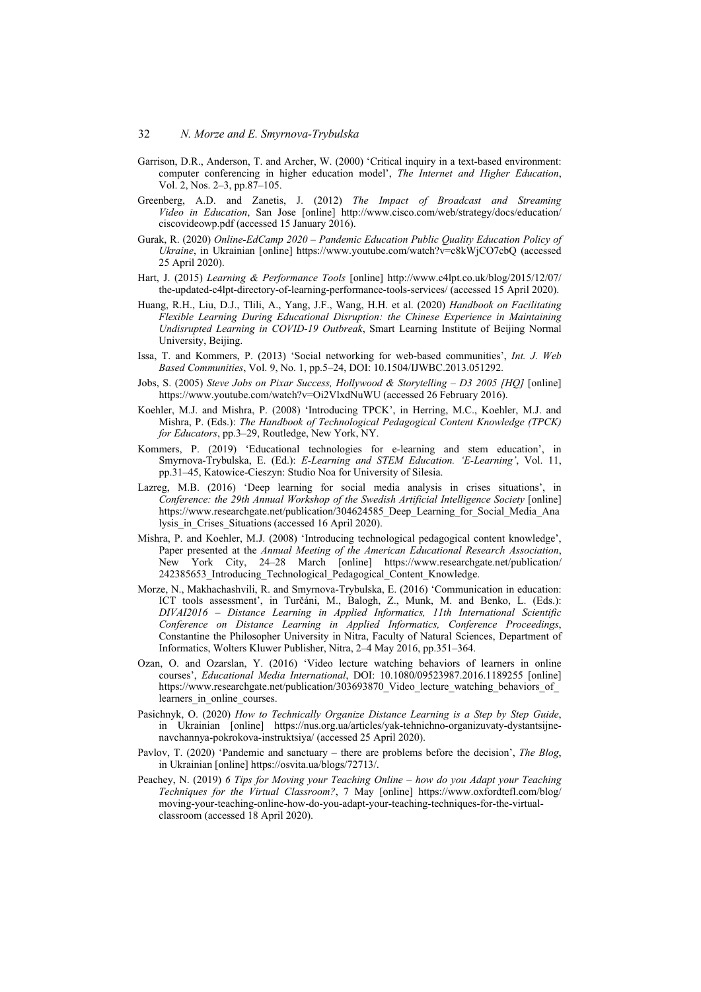- Garrison, D.R., Anderson, T. and Archer, W. (2000) 'Critical inquiry in a text-based environment: computer conferencing in higher education model', *The Internet and Higher Education*, Vol. 2, Nos. 2–3, pp.87–105.
- Greenberg, A.D. and Zanetis, J. (2012) *The Impact of Broadcast and Streaming Video in Education*, San Jose [online] http://www.cisco.com/web/strategy/docs/education/ ciscovideowp.pdf (accessed 15 January 2016).
- Gurak, R. (2020) *Online-EdCamp 2020 Pandemic Education Public Quality Education Policy of Ukraine*, in Ukrainian [online] https://www.youtube.com/watch?v=c8kWjCO7cbQ (accessed 25 April 2020).
- Hart, J. (2015) *Learning & Performance Tools* [online] http://www.c4lpt.co.uk/blog/2015/12/07/ the-updated-c4lpt-directory-of-learning-performance-tools-services/ (accessed 15 April 2020).
- Huang, R.H., Liu, D.J., Tlili, A., Yang, J.F., Wang, H.H. et al. (2020) *Handbook on Facilitating Flexible Learning During Educational Disruption: the Chinese Experience in Maintaining Undisrupted Learning in COVID-19 Outbreak*, Smart Learning Institute of Beijing Normal University, Beijing.
- Issa, T. and Kommers, P. (2013) 'Social networking for web-based communities', *Int. J. Web Based Communities*, Vol. 9, No. 1, pp.5–24, DOI: 10.1504/IJWBC.2013.051292.
- Jobs, S. (2005) *Steve Jobs on Pixar Success, Hollywood & Storytelling D3 2005 [HQ]* [online] https://www.youtube.com/watch?v=Oi2VlxdNuWU (accessed 26 February 2016).
- Koehler, M.J. and Mishra, P. (2008) 'Introducing TPCK', in Herring, M.C., Koehler, M.J. and Mishra, P. (Eds.): *The Handbook of Technological Pedagogical Content Knowledge (TPCK) for Educators*, pp.3–29, Routledge, New York, NY.
- Kommers, P. (2019) 'Educational technologies for e-learning and stem education', in Smyrnova-Trybulska, E. (Ed.): *E-Learning and STEM Education. 'E-Learning'*, Vol. 11, pp.31–45, Katowice-Cieszyn: Studio Noa for University of Silesia.
- Lazreg, M.B. (2016) 'Deep learning for social media analysis in crises situations', in *Conference: the 29th Annual Workshop of the Swedish Artificial Intelligence Society* [online] https://www.researchgate.net/publication/304624585\_Deep\_Learning\_for\_Social\_Media\_Ana lysis in Crises Situations (accessed 16 April 2020).
- Mishra, P. and Koehler, M.J. (2008) 'Introducing technological pedagogical content knowledge', Paper presented at the *Annual Meeting of the American Educational Research Association*, New York City, 24–28 March [online] https://www.researchgate.net/publication/ 242385653 Introducing Technological Pedagogical Content Knowledge.
- Morze, N., Makhachashvili, R. and Smyrnova-Trybulska, E. (2016) 'Communication in education: ICT tools assessment', in Turčáni, M., Balogh, Z., Munk, M. and Benko, L. (Eds.): *DIVAI2016 – Distance Learning in Applied Informatics, 11th International Scientific Conference on Distance Learning in Applied Informatics, Conference Proceedings*, Constantine the Philosopher University in Nitra, Faculty of Natural Sciences, Department of Informatics, Wolters Kluwer Publisher, Nitra, 2–4 May 2016, pp.351–364.
- Ozan, O. and Ozarslan, Y. (2016) 'Video lecture watching behaviors of learners in online courses', *Educational Media International*, DOI: 10.1080/09523987.2016.1189255 [online] https://www.researchgate.net/publication/303693870\_Video\_lecture\_watching\_behaviors\_of learners in online courses.
- Pasichnyk, O. (2020) *How to Technically Organize Distance Learning is a Step by Step Guide*, in Ukrainian [online] https://nus.org.ua/articles/yak-tehnichno-organizuvaty-dystantsijnenavchannya-pokrokova-instruktsiya/ (accessed 25 April 2020).
- Pavlov, T. (2020) 'Pandemic and sanctuary there are problems before the decision', *The Blog*, in Ukrainian [online] https://osvita.ua/blogs/72713/.
- Peachey, N. (2019) *6 Tips for Moving your Teaching Online how do you Adapt your Teaching Techniques for the Virtual Classroom?*, 7 May [online] https://www.oxfordtefl.com/blog/ moving-your-teaching-online-how-do-you-adapt-your-teaching-techniques-for-the-virtualclassroom (accessed 18 April 2020).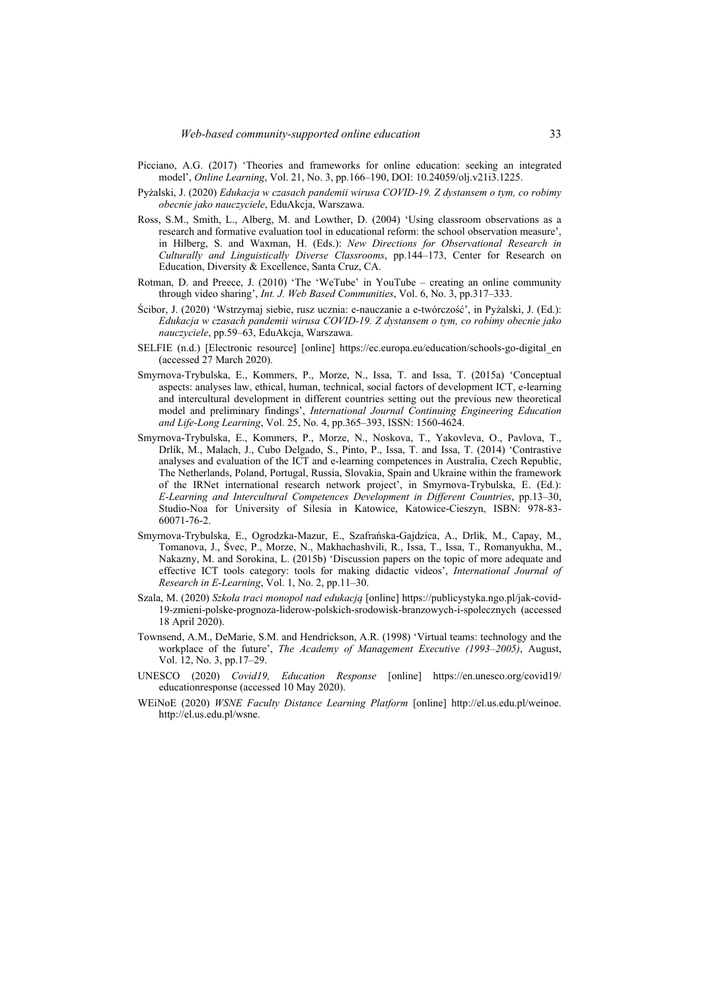- Picciano, A.G. (2017) 'Theories and frameworks for online education: seeking an integrated model', *Online Learning*, Vol. 21, No. 3, pp.166–190, DOI: 10.24059/olj.v21i3.1225.
- Pyżalski, J. (2020) *Edukacja w czasach pandemii wirusa COVID-19. Z dystansem o tym, co robimy obecnie jako nauczyciele*, EduAkcja, Warszawa.
- Ross, S.M., Smith, L., Alberg, M. and Lowther, D. (2004) 'Using classroom observations as a research and formative evaluation tool in educational reform: the school observation measure', in Hilberg, S. and Waxman, H. (Eds.): *New Directions for Observational Research in Culturally and Linguistically Diverse Classrooms*, pp.144–173, Center for Research on Education, Diversity & Excellence, Santa Cruz, CA.
- Rotman, D. and Preece, J. (2010) 'The 'WeTube' in YouTube creating an online community through video sharing', *Int. J. Web Based Communities*, Vol. 6, No. 3, pp.317–333.
- Ścibor, J. (2020) 'Wstrzymaj siebie, rusz ucznia: e-nauczanie a e-twórczość', in Pyżalski, J. (Ed.): *Edukacja w czasach pandemii wirusa COVID-19. Z dystansem o tym, co robimy obecnie jako nauczyciele*, pp.59–63, EduAkcja, Warszawa.
- SELFIE (n.d.) [Electronic resource] [online] https://ec.europa.eu/education/schools-go-digital\_en (accessed 27 March 2020).
- Smyrnova-Trybulska, E., Kommers, P., Morze, N., Issa, T. and Issa, T. (2015a) 'Conceptual aspects: analyses law, ethical, human, technical, social factors of development ICT, e-learning and intercultural development in different countries setting out the previous new theoretical model and preliminary findings', *International Journal Continuing Engineering Education and Life-Long Learning*, Vol. 25, No. 4, pp.365–393, ISSN: 1560-4624.
- Smyrnova-Trybulska, E., Kommers, P., Morze, N., Noskova, T., Yakovleva, O., Pavlova, T., Drlík, M., Malach, J., Cubo Delgado, S., Pinto, P., Issa, T. and Issa, T. (2014) 'Contrastive analyses and evaluation of the ICT and e-learning competences in Australia, Czech Republic, The Netherlands, Poland, Portugal, Russia, Slovakia, Spain and Ukraine within the framework of the IRNet international research network project', in Smyrnova-Trybulska, E. (Ed.): *E-Learning and Intercultural Competences Development in Different Countries*, pp.13–30, Studio-Noa for University of Silesia in Katowice, Katowice-Cieszyn, ISBN: 978-83- 60071-76-2.
- Smyrnova-Trybulska, E., Ogrodzka-Mazur, E., Szafrańska-Gajdzica, A., Drlik, M., Capay, M., Tomanova, J., Śvec, P., Morze, N., Makhachashvili, R., Issa, T., Issa, T., Romanyukha, M., Nakazny, M. and Sorokina, L. (2015b) 'Discussion papers on the topic of more adequate and effective ICT tools category: tools for making didactic videos', *International Journal of Research in E-Learning*, Vol. 1, No. 2, pp.11–30.
- Szala, M. (2020) *Szkoła traci monopol nad edukacją* [online] https://publicystyka.ngo.pl/jak-covid-19-zmieni-polske-prognoza-liderow-polskich-srodowisk-branzowych-i-spolecznych (accessed 18 April 2020).
- Townsend, A.M., DeMarie, S.M. and Hendrickson, A.R. (1998) 'Virtual teams: technology and the workplace of the future', *The Academy of Management Executive (1993–2005)*, August, Vol. 12, No. 3, pp.17–29.
- UNESCO (2020) *Covid19, Education Response* [online] https://en.unesco.org/covid19/ educationresponse (accessed 10 May 2020).
- WEiNoE (2020) *WSNE Faculty Distance Learning Platform* [online] http://el.us.edu.pl/weinoe. http://el.us.edu.pl/wsne.